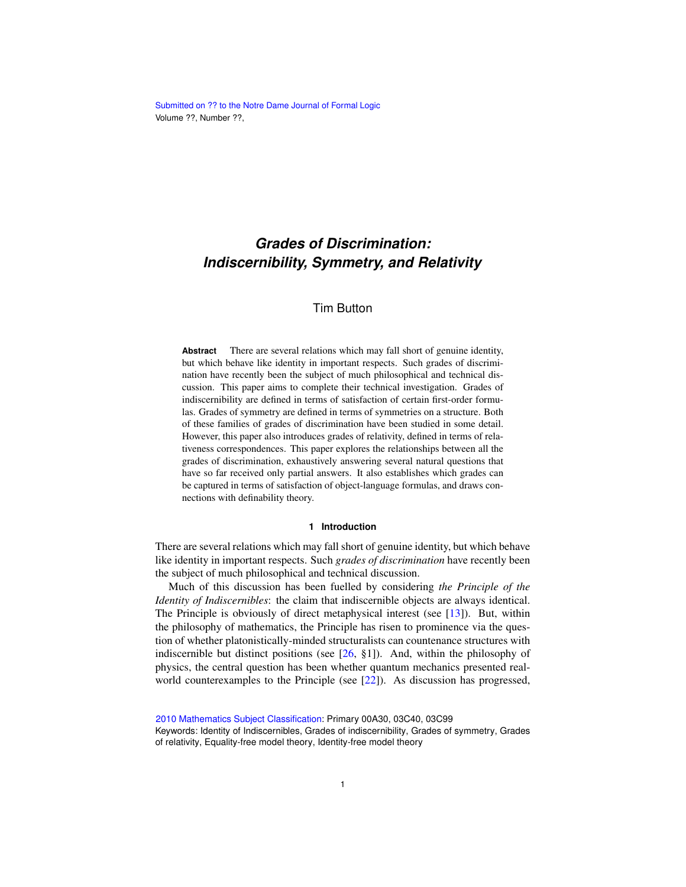# <span id="page-0-2"></span><span id="page-0-1"></span>*Grades of Discrimination: Indiscernibility, Symmetry, and Relativity*

# Tim Button

**Abstract** There are several relations which may fall short of genuine identity, but which behave like identity in important respects. Such grades of discrimination have recently been the subject of much philosophical and technical discussion. This paper aims to complete their technical investigation. Grades of indiscernibility are defined in terms of satisfaction of certain first-order formulas. Grades of symmetry are defined in terms of symmetries on a structure. Both of these families of grades of discrimination have been studied in some detail. However, this paper also introduces grades of relativity, defined in terms of relativeness correspondences. This paper explores the relationships between all the grades of discrimination, exhaustively answering several natural questions that have so far received only partial answers. It also establishes which grades can be captured in terms of satisfaction of object-language formulas, and draws connections with definability theory.

## **1 Introduction**

<span id="page-0-0"></span>There are several relations which may fall short of genuine identity, but which behave like identity in important respects. Such *grades of discrimination* have recently been the subject of much philosophical and technical discussion.

Much of this discussion has been fuelled by considering *the Principle of the Identity of Indiscernibles*: the claim that indiscernible objects are always identical. The Principle is obviously of direct metaphysical interest (see [\[13\]](#page-24-0)). But, within the philosophy of mathematics, the Principle has risen to prominence via the question of whether platonistically-minded structuralists can countenance structures with indiscernible but distinct positions (see  $[26, §1]$  $[26, §1]$ ). And, within the philosophy of physics, the central question has been whether quantum mechanics presented realworld counterexamples to the Principle (see [\[22\]](#page-24-2)). As discussion has progressed,

[2010 Mathematics Subject Classification:](http://www.ams.org/mathscinet/msc/msc2010.html) Primary 00A30, 03C40, 03C99 Keywords: Identity of Indiscernibles, Grades of indiscernibility, Grades of symmetry, Grades of relativity, Equality-free model theory, Identity-free model theory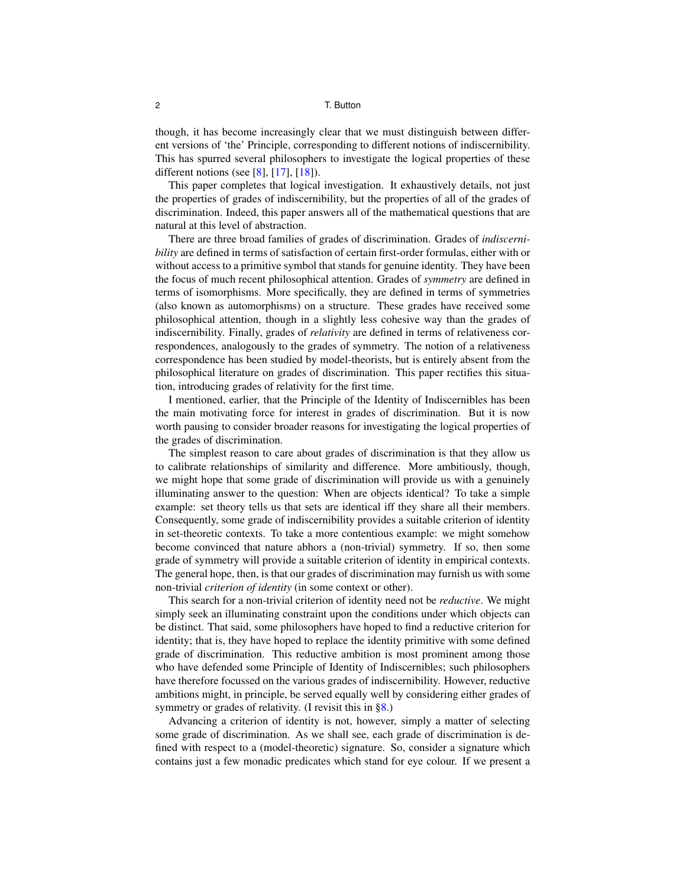<span id="page-1-0"></span>though, it has become increasingly clear that we must distinguish between different versions of 'the' Principle, corresponding to different notions of indiscernibility. This has spurred several philosophers to investigate the logical properties of these different notions (see  $[8]$ ,  $[17]$ ,  $[18]$ ).

This paper completes that logical investigation. It exhaustively details, not just the properties of grades of indiscernibility, but the properties of all of the grades of discrimination. Indeed, this paper answers all of the mathematical questions that are natural at this level of abstraction.

There are three broad families of grades of discrimination. Grades of *indiscernibility* are defined in terms of satisfaction of certain first-order formulas, either with or without access to a primitive symbol that stands for genuine identity. They have been the focus of much recent philosophical attention. Grades of *symmetry* are defined in terms of isomorphisms. More specifically, they are defined in terms of symmetries (also known as automorphisms) on a structure. These grades have received some philosophical attention, though in a slightly less cohesive way than the grades of indiscernibility. Finally, grades of *relativity* are defined in terms of relativeness correspondences, analogously to the grades of symmetry. The notion of a relativeness correspondence has been studied by model-theorists, but is entirely absent from the philosophical literature on grades of discrimination. This paper rectifies this situation, introducing grades of relativity for the first time.

I mentioned, earlier, that the Principle of the Identity of Indiscernibles has been the main motivating force for interest in grades of discrimination. But it is now worth pausing to consider broader reasons for investigating the logical properties of the grades of discrimination.

The simplest reason to care about grades of discrimination is that they allow us to calibrate relationships of similarity and difference. More ambitiously, though, we might hope that some grade of discrimination will provide us with a genuinely illuminating answer to the question: When are objects identical? To take a simple example: set theory tells us that sets are identical iff they share all their members. Consequently, some grade of indiscernibility provides a suitable criterion of identity in set-theoretic contexts. To take a more contentious example: we might somehow become convinced that nature abhors a (non-trivial) symmetry. If so, then some grade of symmetry will provide a suitable criterion of identity in empirical contexts. The general hope, then, is that our grades of discrimination may furnish us with some non-trivial *criterion of identity* (in some context or other).

This search for a non-trivial criterion of identity need not be *reductive*. We might simply seek an illuminating constraint upon the conditions under which objects can be distinct. That said, some philosophers have hoped to find a reductive criterion for identity; that is, they have hoped to replace the identity primitive with some defined grade of discrimination. This reductive ambition is most prominent among those who have defended some Principle of Identity of Indiscernibles; such philosophers have therefore focussed on the various grades of indiscernibility. However, reductive ambitions might, in principle, be served equally well by considering either grades of symmetry or grades of relativity. (I revisit this in  $\S 8$ .)

Advancing a criterion of identity is not, however, simply a matter of selecting some grade of discrimination. As we shall see, each grade of discrimination is defined with respect to a (model-theoretic) signature. So, consider a signature which contains just a few monadic predicates which stand for eye colour. If we present a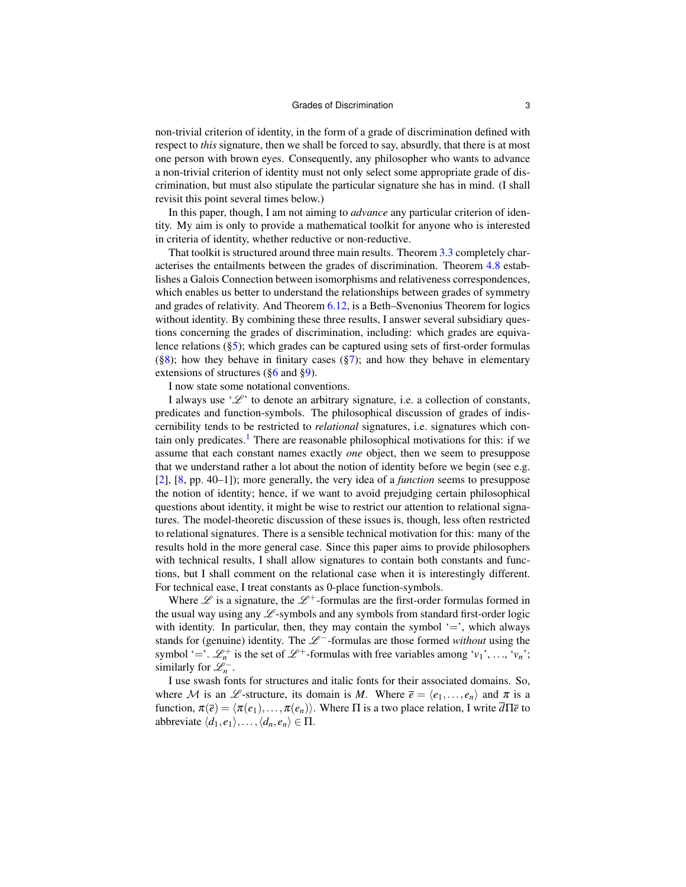<span id="page-2-0"></span>non-trivial criterion of identity, in the form of a grade of discrimination defined with respect to *this* signature, then we shall be forced to say, absurdly, that there is at most one person with brown eyes. Consequently, any philosopher who wants to advance a non-trivial criterion of identity must not only select some appropriate grade of discrimination, but must also stipulate the particular signature she has in mind. (I shall revisit this point several times below.)

In this paper, though, I am not aiming to *advance* any particular criterion of identity. My aim is only to provide a mathematical toolkit for anyone who is interested in criteria of identity, whether reductive or non-reductive.

That toolkit is structured around three main results. Theorem [3.3](#page-5-0) completely characterises the entailments between the grades of discrimination. Theorem [4.8](#page-10-0) establishes a Galois Connection between isomorphisms and relativeness correspondences, which enables us better to understand the relationships between grades of symmetry and grades of relativity. And Theorem [6.12,](#page-15-0) is a Beth–Svenonius Theorem for logics without identity. By combining these three results, I answer several subsidiary questions concerning the grades of discrimination, including: which grades are equivalence relations ([§5\)](#page-11-0); which grades can be captured using sets of first-order formulas  $(\S 8)$ ; how they behave in finitary cases  $(\S 7)$ ; and how they behave in elementary extensions of structures  $(\S6 \text{ and } \S9)$ .

I now state some notational conventions.

I always use ' $\mathscr{L}'$ ' to denote an arbitrary signature, i.e. a collection of constants, predicates and function-symbols. The philosophical discussion of grades of indiscernibility tends to be restricted to *relational* signatures, i.e. signatures which con-tain only predicates.<sup>[1](#page-22-0)</sup> There are reasonable philosophical motivations for this: if we assume that each constant names exactly *one* object, then we seem to presuppose that we understand rather a lot about the notion of identity before we begin (see e.g. [\[2\]](#page-23-0), [\[8,](#page-24-3) pp. 40–1]); more generally, the very idea of a *function* seems to presuppose the notion of identity; hence, if we want to avoid prejudging certain philosophical questions about identity, it might be wise to restrict our attention to relational signatures. The model-theoretic discussion of these issues is, though, less often restricted to relational signatures. There is a sensible technical motivation for this: many of the results hold in the more general case. Since this paper aims to provide philosophers with technical results, I shall allow signatures to contain both constants and functions, but I shall comment on the relational case when it is interestingly different. For technical ease, I treat constants as 0-place function-symbols.

Where  $\mathscr L$  is a signature, the  $\mathscr L^+$ -formulas are the first-order formulas formed in the usual way using any  $\mathscr L$ -symbols and any symbols from standard first-order logic with identity. In particular, then, they may contain the symbol  $=$ ', which always stands for (genuine) identity. The  $\mathscr{L}$  –-formulas are those formed *without* using the symbol '='.  $\mathcal{L}_n^+$  is the set of  $\mathcal{L}^+$ -formulas with free variables among '*v*<sub>1</sub>', ..., '*v*<sub>n</sub>'; similarly for  $\mathcal{L}_n^-$ .

I use swash fonts for structures and italic fonts for their associated domains. So, where M is an  $\mathscr{L}$ -structure, its domain is M. Where  $\overline{e} = \langle e_1, \ldots, e_n \rangle$  and  $\pi$  is a function,  $\pi(\bar{e}) = \langle \pi(e_1), \ldots, \pi(e_n) \rangle$ . Where  $\Pi$  is a two place relation, I write  $\bar{d}\Pi \bar{e}$  to abbreviate  $\langle d_1, e_1 \rangle, \ldots, \langle d_n, e_n \rangle \in \Pi$ .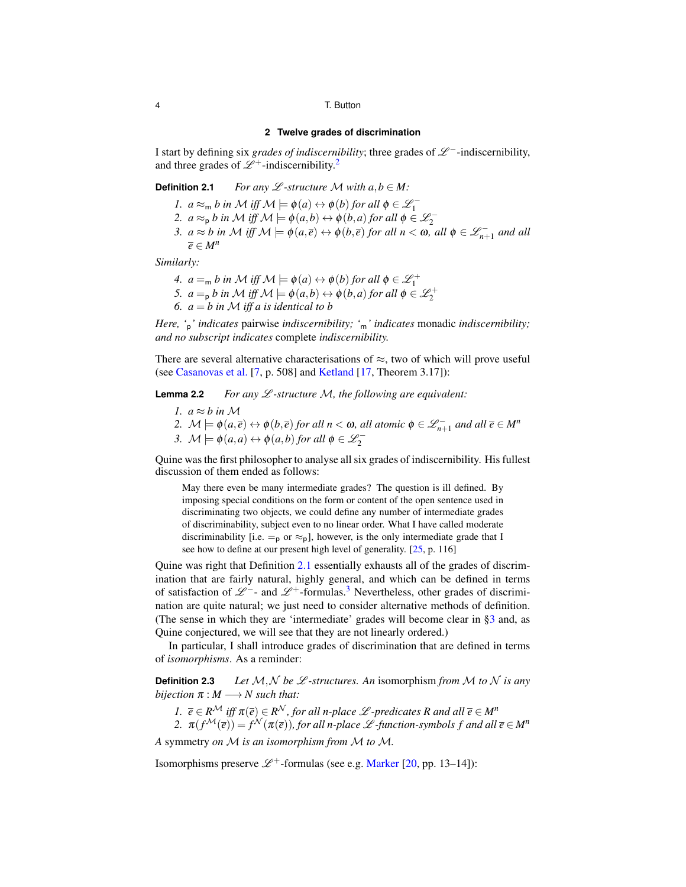#### **2 Twelve grades of discrimination**

<span id="page-3-2"></span>I start by defining six *grades of indiscernibility*; three grades of  $\mathcal{L}^-$ -indiscernibility, and three grades of  $\mathscr{L}^+$ -indiscernibility.<sup>[2](#page-22-1)</sup>

<span id="page-3-0"></span>**Definition 2.1** *For any*  $\mathscr{L}$ -structure M with  $a, b \in M$ :

- *1.*  $a \approx_m b$  *in*  $M$  *iff*  $M \models \phi(a) \leftrightarrow \phi(b)$  *for all*  $\phi \in \mathscr{L}_1^-$
- 
- 2.  $a \approx_{p} b$  in M iff  $M \models \phi(a,b) \leftrightarrow \phi(b,a)$  for all  $\phi \in \mathscr{L}_{2}^{-}$ <br>3.  $a \approx b$  in M iff  $M \models \phi(a,\overline{e}) \leftrightarrow \phi(b,\overline{e})$  for all  $n < \omega$ , all  $\phi \in \mathscr{L}_{n+1}^{-}$  and all  $\overline{e} \in M^n$

*Similarly:*

- *4.*  $a =_{\text{m}} b$  *in M iff*  $M \models \phi(a) \leftrightarrow \phi(b)$  *for all*  $\phi \in \mathcal{L}_1^+$ <br>*5.*  $a =_{\text{p}} b$  *in*  $M$  *iff*  $M \models \phi(a, b) \leftrightarrow \phi(b, a)$  *for all*  $\phi \in \mathcal{L}_2^+$
- 
- *6.*  $a = b$  in M iff a is identical to b

*Here, '*p*' indicates* pairwise *indiscernibility; '*m*' indicates* monadic *indiscernibility; and no subscript indicates* complete *indiscernibility.*

There are several alternative characterisations of  $\approx$ , two of which will prove useful (see [Casanovas et al.](#page-24-6) [\[7,](#page-24-6) p. 508] and [Ketland](#page-24-4) [\[17,](#page-24-4) Theorem 3.17]):

<span id="page-3-1"></span>**Lemma 2.2** *For any*  $\mathscr L$ *-structure* M, the following are equivalent:

- *1.*  $a \approx b$  *in M*
- *2.*  $\mathcal{M} \models \phi(a, \overline{e}) \leftrightarrow \phi(b, \overline{e})$  *for all n* <  $\omega$ *, all atomic*  $\phi \in \mathscr{L}_{n+1}^-$  *and all*  $\overline{e} \in M^n$
- *3.*  $\mathcal{M} \models \phi(a,a) \leftrightarrow \phi(a,b)$  *for all*  $\phi \in \mathcal{L}_2^-$

Quine was the first philosopher to analyse all six grades of indiscernibility. His fullest discussion of them ended as follows:

May there even be many intermediate grades? The question is ill defined. By imposing special conditions on the form or content of the open sentence used in discriminating two objects, we could define any number of intermediate grades of discriminability, subject even to no linear order. What I have called moderate discriminability [i.e.  $=_{p}$  or  $\approx_{p}$ ], however, is the only intermediate grade that I see how to define at our present high level of generality. [\[25,](#page-24-7) p. 116]

Quine was right that Definition [2.1](#page-3-0) essentially exhausts all of the grades of discrimination that are fairly natural, highly general, and which can be defined in terms of satisfaction of  $\mathscr{L}^-$ - and  $\mathscr{L}^+$ -formulas.<sup>[3](#page-22-2)</sup> Nevertheless, other grades of discrimination are quite natural; we just need to consider alternative methods of definition. (The sense in which they are 'intermediate' grades will become clear in [§3](#page-5-1) and, as Quine conjectured, we will see that they are not linearly ordered.)

In particular, I shall introduce grades of discrimination that are defined in terms of *isomorphisms*. As a reminder:

**Definition 2.3** *Let*  $M, N$  *be*  $L$ -structures. An isomorphism from M to N is any *bijection*  $\pi : M \longrightarrow N$  *such that:* 

*1.*  $\overline{e} \in R^{\mathcal{M}}$  *iff*  $\pi(\overline{e}) \in R^{\mathcal{N}}$ , for all n-place  $\mathcal{L}$ -predicates R and all  $\overline{e} \in M^n$ 

2.  $\pi(f^{\mathcal{M}}(\overline{e})) = f^{\mathcal{N}}(\pi(\overline{e})),$  for all n-place  $\mathscr{L}$  -function-symbols  $f$  and all  $\overline{e} \in M^n$ 

*A* symmetry *on* M *is an isomorphism from* M *to* M*.*

Isomorphisms preserve  $\mathcal{L}^+$ -formulas (see e.g. [Marker](#page-24-8) [\[20,](#page-24-8) pp. 13–14]):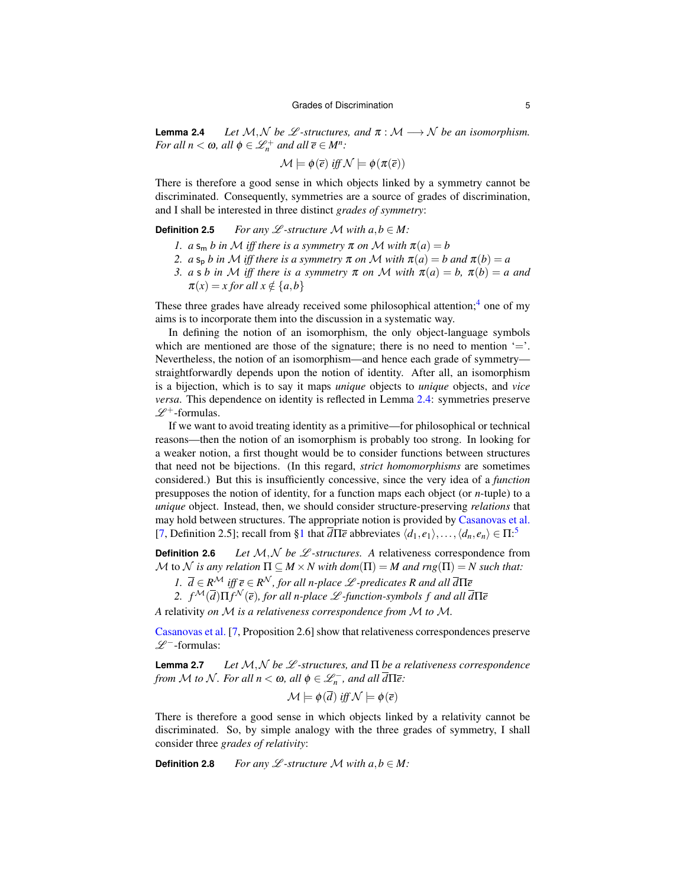<span id="page-4-2"></span><span id="page-4-0"></span>**Lemma 2.4** *Let*  $M, N$  *be*  $L$ -structures, and  $\pi : M \longrightarrow N$  *be an isomorphism. For all*  $n < \omega$ , *all*  $\phi \in \mathcal{L}_n^+$  *and all*  $\overline{e} \in M^n$ :

$$
\mathcal{M} \models \phi(\overline{e}) \text{ iff } \mathcal{N} \models \phi(\pi(\overline{e}))
$$

There is therefore a good sense in which objects linked by a symmetry cannot be discriminated. Consequently, symmetries are a source of grades of discrimination, and I shall be interested in three distinct *grades of symmetry*:

**Definition 2.5** *For any*  $\mathscr L$ -structure  $\mathcal M$  with  $a, b \in \mathcal M$ :

- *1.*  $a \, s_m b$  *in*  $M$  *iff there is a symmetry*  $\pi$  *on*  $M$  *with*  $\pi(a) = b$
- *2.*  $a s_p b$  *in*  $M$  *iff there is a symmetry*  $\pi$  *on*  $M$  *with*  $\pi(a) = b$  *and*  $\pi(b) = a$
- *3. a s b in M iff there is a symmetry*  $\pi$  *on M with*  $\pi$ (*a*) = *b*,  $\pi$ (*b*) = *a and*  $\pi(x) = x$  for all  $x \notin \{a, b\}$

These three grades have already received some philosophical attention;<sup>[4](#page-22-3)</sup> one of my aims is to incorporate them into the discussion in a systematic way.

In defining the notion of an isomorphism, the only object-language symbols which are mentioned are those of the signature; there is no need to mention  $=$ . Nevertheless, the notion of an isomorphism—and hence each grade of symmetry straightforwardly depends upon the notion of identity. After all, an isomorphism is a bijection, which is to say it maps *unique* objects to *unique* objects, and *vice versa*. This dependence on identity is reflected in Lemma [2.4:](#page-4-0) symmetries preserve  $\mathscr{L}^+$ -formulas.

If we want to avoid treating identity as a primitive—for philosophical or technical reasons—then the notion of an isomorphism is probably too strong. In looking for a weaker notion, a first thought would be to consider functions between structures that need not be bijections. (In this regard, *strict homomorphisms* are sometimes considered.) But this is insufficiently concessive, since the very idea of a *function* presupposes the notion of identity, for a function maps each object (or *n*-tuple) to a *unique* object. Instead, then, we should consider structure-preserving *relations* that may hold between structures. The appropriate notion is provided by [Casanovas et al.](#page-24-6) [\[7,](#page-24-6) Definition 2.5]; recall from [§1](#page-0-0) that  $\overline{d}\Pi\overline{e}$  abbreviates  $\langle d_1, e_1 \rangle, \ldots, \langle d_n, e_n \rangle \in \Pi$ <sup>[5](#page-22-4)</sup>.

**Definition 2.6** *Let*  $M, N$  *be*  $L$ *-structures. A* relativeness correspondence from  $\mathcal M$  to  $\mathcal N$  *is any relation*  $\Pi \subseteq M \times N$  with  $dom(\Pi) = M$  and  $rng(\Pi) = N$  such that:

- *1.*  $\overline{d} \in R^{\mathcal{M}}$  *iff*  $\overline{e} \in R^{\mathcal{N}}$ , for all n-place  $\mathcal{L}$ -predicates R and all  $\overline{d}\Pi \overline{e}$
- $2.$   $f^{\mathcal{M}}(\overline{d})\Pi f^{\mathcal{N}}(\overline{e})$ *, for all n-place*  $\mathscr{L}$  *-function-symbols f and all*  $\overline{d}\Pi \overline{e}$

*A* relativity *on* M *is a relativeness correspondence from* M *to* M*.*

[Casanovas et al.](#page-24-6) [\[7,](#page-24-6) Proposition 2.6] show that relativeness correspondences preserve  $\mathscr{L}$ <sup>-</sup>-formulas:

<span id="page-4-1"></span>**Lemma 2.7** *Let* M,N *be* L *-structures, and* Π *be a relativeness correspondence from*  $M$  *to*  $N$ *. For all*  $n < \omega$ *, all*  $\phi \in \mathscr{L}_n^-$ *, and all*  $\overline{d}\Pi\overline{e}$ *:* 

$$
\mathcal{M} \models \phi(\overline{d}) \text{ iff } \mathcal{N} \models \phi(\overline{e})
$$

There is therefore a good sense in which objects linked by a relativity cannot be discriminated. So, by simple analogy with the three grades of symmetry, I shall consider three *grades of relativity*:

**Definition 2.8** *For any*  $\mathscr L$ -structure M with  $a, b \in M$ :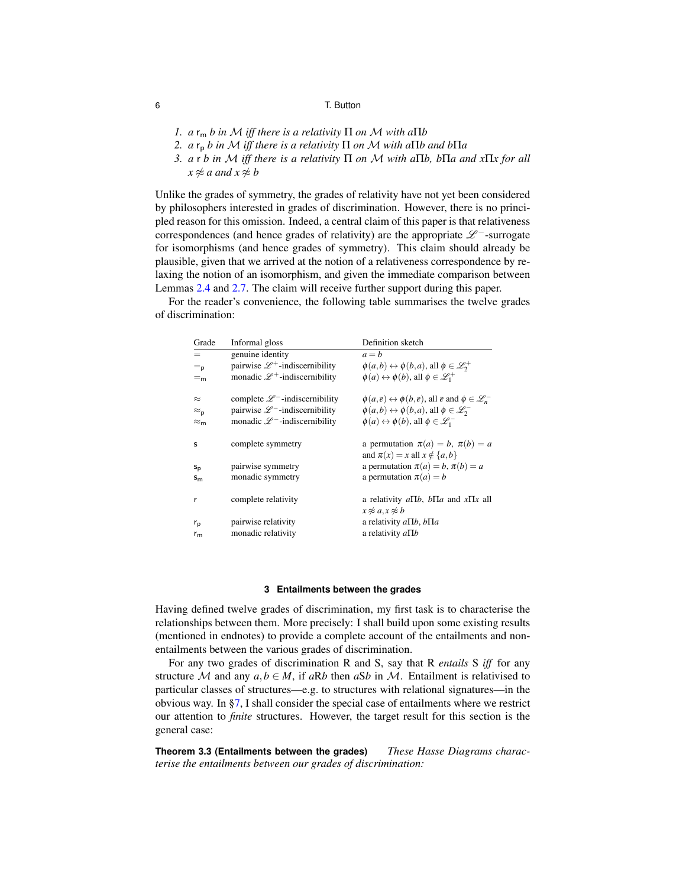- *1.*  $a r_m b$  *in*  $M$  *iff there is a relativity*  $\Pi$  *on*  $M$  *with*  $a \Pi b$
- *2. a* r<sup>p</sup> *b in* M *iff there is a relativity* Π *on* M *with a*Π*b and b*Π*a*
- *3. a* r *b in* M *iff there is a relativity* Π *on* M *with a*Π*b, b*Π*a and x*Π*x for all*  $x \not\approx a$  and  $x \not\approx b$

Unlike the grades of symmetry, the grades of relativity have not yet been considered by philosophers interested in grades of discrimination. However, there is no principled reason for this omission. Indeed, a central claim of this paper is that relativeness correspondences (and hence grades of relativity) are the appropriate  $\mathscr{L}$  –-surrogate for isomorphisms (and hence grades of symmetry). This claim should already be plausible, given that we arrived at the notion of a relativeness correspondence by relaxing the notion of an isomorphism, and given the immediate comparison between Lemmas [2.4](#page-4-0) and [2.7.](#page-4-1) The claim will receive further support during this paper.

For the reader's convenience, the following table summarises the twelve grades of discrimination:

| Grade                  | Informal gloss                             | Definition sketch                                                                                             |
|------------------------|--------------------------------------------|---------------------------------------------------------------------------------------------------------------|
| $=$                    | genuine identity                           | $a = b$                                                                                                       |
| $=_{p}$                | pairwise $\mathcal{L}^+$ -indiscernibility | $\phi(a,b) \leftrightarrow \phi(b,a)$ , all $\phi \in \mathscr{L}_2^+$                                        |
| $=$ m                  | monadic $\mathscr{L}^+$ -indiscernibility  | $\phi(a) \leftrightarrow \phi(b)$ , all $\phi \in \mathcal{L}_1^+$                                            |
|                        |                                            |                                                                                                               |
| $\approx$              | complete $\mathscr{L}$ -indiscernibility   | $\phi(a,\overline{e}) \leftrightarrow \phi(b,\overline{e})$ , all $\overline{e}$ and $\phi \in \mathscr{L}^-$ |
| $\approx_{\texttt{D}}$ | pairwise $\mathscr{L}^-$ -indiscernibility | $\phi(a,b) \leftrightarrow \phi(b,a)$ , all $\phi \in \mathscr{L}_{2}^{-}$                                    |
| $\approx_{\mathsf{m}}$ | monadic $\mathscr{L}^-$ -indiscernibility  | $\phi(a) \leftrightarrow \phi(b)$ , all $\phi \in \mathscr{L}_1^-$                                            |
|                        |                                            |                                                                                                               |
| s                      | complete symmetry                          | a permutation $\pi(a) = b$ , $\pi(b) = a$                                                                     |
|                        |                                            | and $\pi(x) = x$ all $x \notin \{a, b\}$                                                                      |
| $S_D$                  | pairwise symmetry                          | a permutation $\pi(a) = b$ , $\pi(b) = a$                                                                     |
| $S_{\rm m}$            | monadic symmetry                           | a permutation $\pi(a) = b$                                                                                    |
|                        |                                            |                                                                                                               |
| r                      | complete relativity                        | a relativity $a \Pi b$ , $b \Pi a$ and $x \Pi x$ all                                                          |
|                        |                                            | $x \not\approx a, x \not\approx b$                                                                            |
| $r_{p}$                | pairwise relativity                        | a relativity $a \Pi b$ , $b \Pi a$                                                                            |
| $r_{m}$                | monadic relativity                         | a relativity $a \Pi b$                                                                                        |
|                        |                                            |                                                                                                               |

## **3 Entailments between the grades**

<span id="page-5-1"></span>Having defined twelve grades of discrimination, my first task is to characterise the relationships between them. More precisely: I shall build upon some existing results (mentioned in endnotes) to provide a complete account of the entailments and nonentailments between the various grades of discrimination.

For any two grades of discrimination R and S, say that R *entails* S *iff* for any structure M and any  $a, b \in M$ , if  $aRb$  then  $aSb$  in M. Entailment is relativised to particular classes of structures—e.g. to structures with relational signatures—in the obvious way. In [§7,](#page-15-1) I shall consider the special case of entailments where we restrict our attention to *finite* structures. However, the target result for this section is the general case:

<span id="page-5-0"></span>**Theorem 3.3 (Entailments between the grades)** *These Hasse Diagrams characterise the entailments between our grades of discrimination:*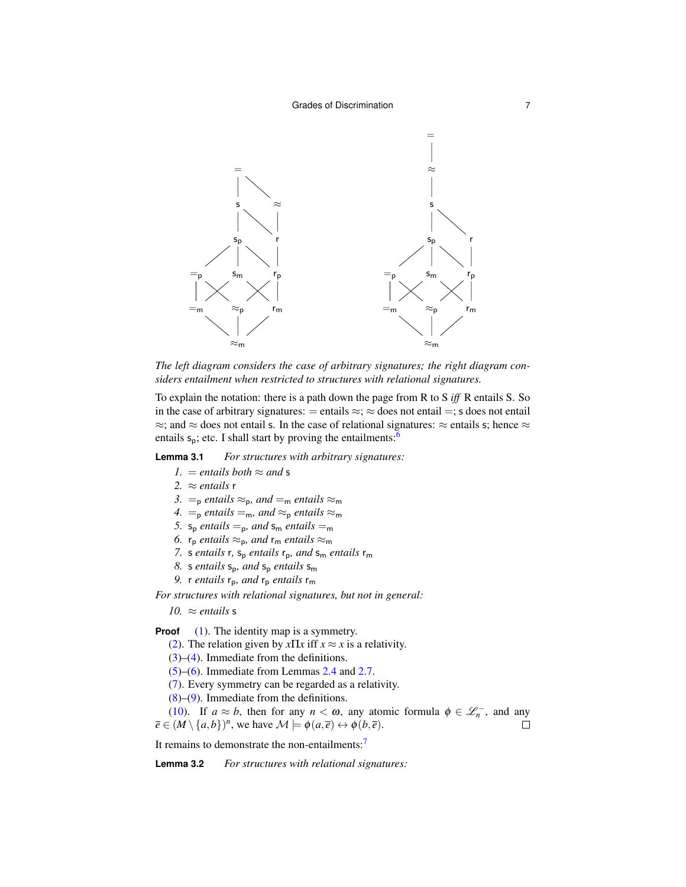

*The left diagram considers the case of arbitrary signatures; the right diagram considers entailment when restricted to structures with relational signatures.*

To explain the notation: there is a path down the page from R to S *iff* R entails S. So in the case of arbitrary signatures:  $=$  entails  $\approx$ ;  $\approx$  does not entail =; s does not entail  $\approx$ ; and  $\approx$  does not entail s. In the case of relational signatures:  $\approx$  entails s; hence  $\approx$ entails  $s_p$ ; etc. I shall start by proving the entailments:<sup>[6](#page-22-5)</sup>

<span id="page-6-10"></span><span id="page-6-0"></span>**Lemma 3.1** *For structures with arbitrary signatures:*

- *1.* = *entails both*  $\approx$  *and* **s**
- <span id="page-6-1"></span>2.  $\approx$  *entails* r
- <span id="page-6-2"></span> $3. =_{\text{p}}$  *entails*  $\approx_{\text{p}}$ *, and*  $=_{\text{m}}$  *entails*  $\approx_{\text{m}}$
- <span id="page-6-3"></span>*4.*  $=_{p}$  *entails*  $=_{m}$ *, and*  $\approx_{p}$  *entails*  $\approx_{m}$
- <span id="page-6-4"></span>*5.*  $s_p$  *entails*  $=$ <sub>p</sub>*, and*  $s_m$  *entails*  $=$ <sub>m</sub>
- <span id="page-6-5"></span>*6.*  $r_p$  *entails*  $\approx_p$ *, and*  $r_m$  *entails*  $\approx_m$
- <span id="page-6-6"></span>*7.* s *entails*  $r, s_p$  *entails*  $r_p$ *, and*  $s_m$  *entails*  $r_m$
- <span id="page-6-7"></span>*8.* s *entails*  $s_p$ *, and*  $s_p$  *entails*  $s_m$
- *9. r entails*  $r_p$ *, and*  $r_p$  *entails*  $r_m$

<span id="page-6-9"></span><span id="page-6-8"></span>*For structures with relational signatures, but not in general:*

*10.*  $\approx$  *entails* **s** 

**Proof** [\(1\)](#page-6-0). The identity map is a symmetry.

[\(2\)](#page-6-1). The relation given by *x*Π*x* iff  $x \approx x$  is a relativity.

 $(3)$ – $(4)$ . Immediate from the definitions.

- $(5)$ – $(6)$ . Immediate from Lemmas [2.4](#page-4-0) and [2.7.](#page-4-1)
- [\(7\)](#page-6-6). Every symmetry can be regarded as a relativity.

 $(8)$ – $(9)$ . Immediate from the definitions.

[\(10\)](#page-6-9). If  $a \approx b$ , then for any  $n < \omega$ , any atomic formula  $\phi \in \mathcal{L}_n^-$ , and any  $\overline{e} \in (M \setminus \{a, b\})^n$ , we have  $\mathcal{M} \models \phi(a, \overline{e}) \leftrightarrow \phi(b, \overline{e})$ .  $\Box$ 

It remains to demonstrate the non-entailments:<sup>[7](#page-22-6)</sup>

<span id="page-6-11"></span>**Lemma 3.2** *For structures with relational signatures:*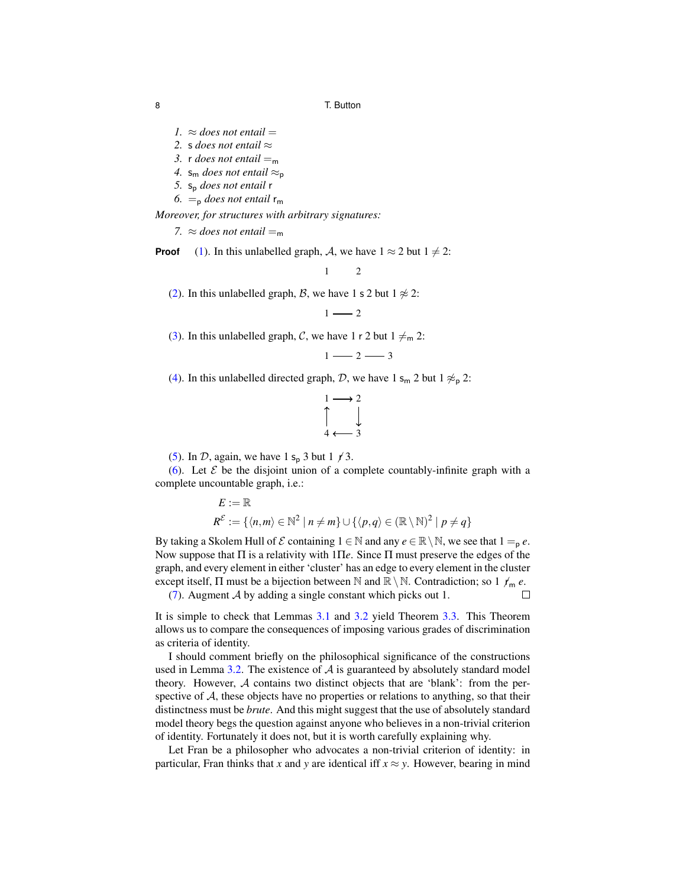<span id="page-7-0"></span> $1. \approx$  *does not entail*  $=$ *2.* s *does not entail* ≈

<span id="page-7-2"></span><span id="page-7-1"></span>*3.* r *does not entail*  $=$ <sub>m</sub>

<span id="page-7-3"></span>*4.*  $s_m$  *does not entail*  $\approx_p$ 

<span id="page-7-4"></span>*5.* s<sup>p</sup> *does not entail* r

 $6. =_{\text{p}}$  *does not entail* r<sub>m</sub>

<span id="page-7-6"></span><span id="page-7-5"></span>*Moreover, for structures with arbitrary signatures:*

*7.*  $\approx$  *does not entail*  $=$ <sub>m</sub>

**Proof** [\(1\)](#page-7-0). In this unlabelled graph, A, we have  $1 \approx 2$  but  $1 \neq 2$ :

1 2

[\(2\)](#page-7-1). In this unlabelled graph, B, we have 1 s 2 but  $1 \nless 2$ :

 $1 - 2$ 

[\(3\)](#page-7-2). In this unlabelled graph, C, we have 1 r 2 but  $1 \neq_m 2$ :

$$
1 \longrightarrow 2 \longrightarrow 3
$$

[\(4\)](#page-7-3). In this unlabelled directed graph, D, we have 1 s<sub>m</sub> 2 but 1  $\frac{2}{5}$  2:

| 1                        | $\longrightarrow$ | $\overline{\mathbf{2}}$ |
|--------------------------|-------------------|-------------------------|
|                          |                   |                         |
| $\overline{\phantom{a}}$ |                   | $\downarrow$            |
| 4                        | $\longleftarrow$  | 3                       |

[\(5\)](#page-7-4). In D, again, we have 1  $s_p$  3 but 1  $\neq$  3.

[\(6\)](#page-7-5). Let  $\mathcal E$  be the disjoint union of a complete countably-infinite graph with a complete uncountable graph, i.e.:

$$
E := \mathbb{R}
$$
  

$$
R^{\mathcal{E}} := \{ \langle n, m \rangle \in \mathbb{N}^2 \mid n \neq m \} \cup \{ \langle p, q \rangle \in (\mathbb{R} \setminus \mathbb{N})^2 \mid p \neq q \}
$$

By taking a Skolem Hull of  $\mathcal E$  containing  $1 \in \mathbb N$  and any  $e \in \mathbb R \setminus \mathbb N$ , we see that  $1 =_p e$ . Now suppose that Π is a relativity with 1Π*e*. Since Π must preserve the edges of the graph, and every element in either 'cluster' has an edge to every element in the cluster except itself,  $\Pi$  must be a bijection between  $\mathbb N$  and  $\mathbb R \setminus \mathbb N$ . Contradiction; so 1  $f_m$  *e*.  $\Box$ 

[\(7\)](#page-7-6). Augment A by adding a single constant which picks out 1.

It is simple to check that Lemmas [3.1](#page-6-10) and [3.2](#page-6-11) yield Theorem [3.3.](#page-5-0) This Theorem allows us to compare the consequences of imposing various grades of discrimination as criteria of identity.

I should comment briefly on the philosophical significance of the constructions used in Lemma  $3.2$ . The existence of  $A$  is guaranteed by absolutely standard model theory. However, A contains two distinct objects that are 'blank': from the perspective of  $A$ , these objects have no properties or relations to anything, so that their distinctness must be *brute*. And this might suggest that the use of absolutely standard model theory begs the question against anyone who believes in a non-trivial criterion of identity. Fortunately it does not, but it is worth carefully explaining why.

Let Fran be a philosopher who advocates a non-trivial criterion of identity: in particular, Fran thinks that *x* and *y* are identical iff  $x \approx y$ . However, bearing in mind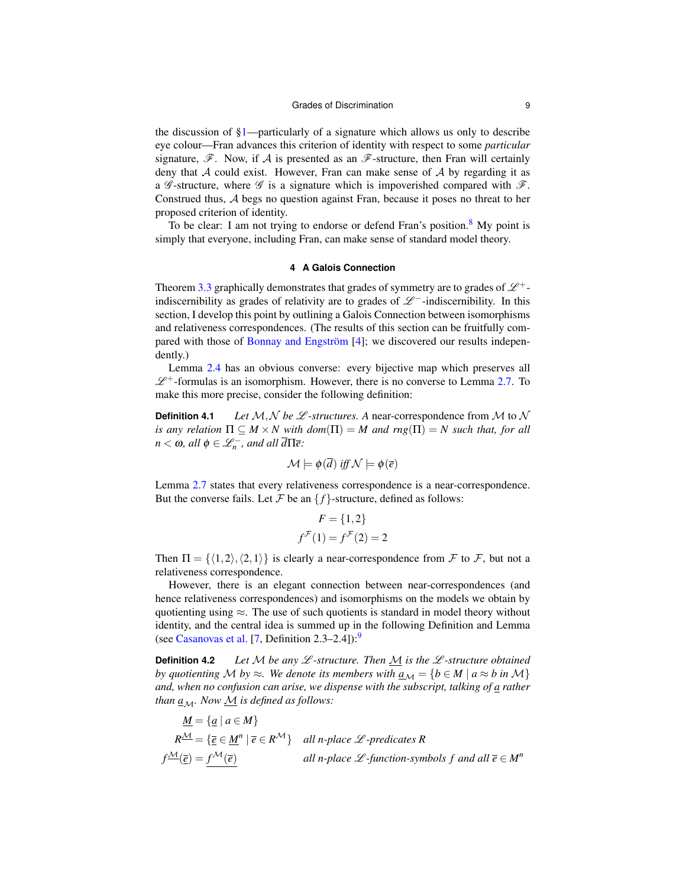<span id="page-8-1"></span>the discussion of  $\S1$ —particularly of a signature which allows us only to describe eye colour—Fran advances this criterion of identity with respect to some *particular* signature,  $\mathscr{F}$ . Now, if A is presented as an  $\mathscr{F}$ -structure, then Fran will certainly deny that  $A$  could exist. However, Fran can make sense of  $A$  by regarding it as a  $\mathscr G$ -structure, where  $\mathscr G$  is a signature which is impoverished compared with  $\mathscr F$ . Construed thus, A begs no question against Fran, because it poses no threat to her proposed criterion of identity.

To be clear: I am not trying to endorse or defend Fran's position.<sup>[8](#page-22-7)</sup> My point is simply that everyone, including Fran, can make sense of standard model theory.

#### **4 A Galois Connection**

<span id="page-8-0"></span>Theorem [3.3](#page-5-0) graphically demonstrates that grades of symmetry are to grades of  $\mathcal{L}^+$ indiscernibility as grades of relativity are to grades of  $\mathscr{L}^-$ -indiscernibility. In this section, I develop this point by outlining a Galois Connection between isomorphisms and relativeness correspondences. (The results of this section can be fruitfully compared with those of [Bonnay and Engström](#page-23-1) [\[4\]](#page-23-1); we discovered our results independently.)

Lemma [2.4](#page-4-0) has an obvious converse: every bijective map which preserves all  $\mathscr{L}^+$ -formulas is an isomorphism. However, there is no converse to Lemma [2.7.](#page-4-1) To make this more precise, consider the following definition:

**Definition 4.1** *Let*  $M, N$  *be*  $L$ *-structures. A* near-correspondence from M to N *is any relation*  $\Pi \subseteq M \times N$  *with dom* $(\Pi) = M$  *and rng* $(\Pi) = N$  *such that, for all*  $n < \omega$ , all  $\phi \in \mathscr{L}_n^-$ , and all  $\overline{d}\Pi\overline{e}$ :

$$
\mathcal{M} \models \phi(d) \text{ iff } \mathcal{N} \models \phi(\overline{e})
$$

Lemma [2.7](#page-4-1) states that every relativeness correspondence is a near-correspondence. But the converse fails. Let  $\mathcal F$  be an  $\{f\}$ -structure, defined as follows:

$$
F = \{1, 2\}
$$

$$
f^{\mathcal{F}}(1) = f^{\mathcal{F}}(2) = 2
$$

Then  $\Pi = \{(1,2), (2,1)\}\$ is clearly a near-correspondence from F to F, but not a relativeness correspondence.

However, there is an elegant connection between near-correspondences (and hence relativeness correspondences) and isomorphisms on the models we obtain by quotienting using  $\approx$ . The use of such quotients is standard in model theory without identity, and the central idea is summed up in the following Definition and Lemma (see [Casanovas et al.](#page-24-6) [\[7,](#page-24-6) Definition  $2.3-2.4$ ]):<sup>[9](#page-22-8)</sup>

**Definition 4.2** *Let*  $M$  *be any*  $L$ -structure. Then  $M$  *is the*  $L$ -structure obtained *by quotienting M by*  $\approx$ *. We denote its members with*  $a_M = \{b \in M \mid a \approx b \text{ in } M\}$ *and, when no confusion can arise, we dispense with the subscript, talking of a rather than*  $a_M$ . Now  $\underline{M}$  *is defined as follows:* 

$$
\underline{M} = \{ \underline{a} \mid a \in M \}
$$
\n
$$
R^{\underline{M}} = \{ \underline{\overline{e}} \in \underline{M}^n \mid \overline{e} \in R^{\mathcal{M}} \} \quad \text{all } n \text{-place } \mathcal{L} \text{-predicates } R
$$
\n
$$
f^{\underline{M}}(\underline{\overline{e}}) = f^{\underline{M}}(\overline{e}) \qquad \text{all } n \text{-place } \mathcal{L} \text{-function-symbols } f \text{ and all } \overline{e} \in M^n
$$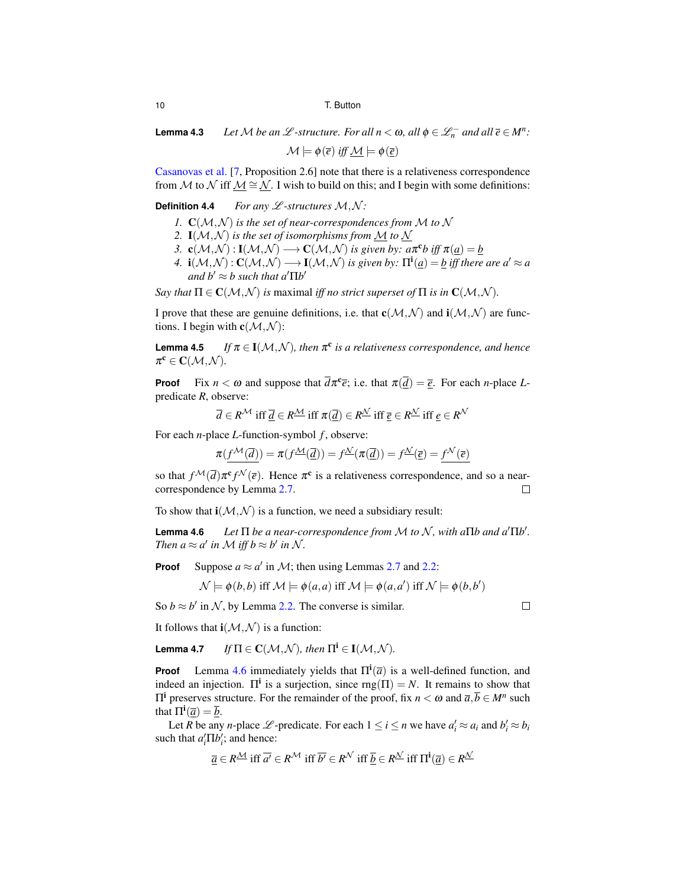<span id="page-9-5"></span><span id="page-9-4"></span>**Lemma 4.3** *Let*  $M$  *be an*  $L$ -structure. For all  $n < \omega$ , all  $\phi \in L_n^-$  and all  $\overline{e} \in M^n$ :

$$
\mathcal{M} \models \phi(\overline{e}) \text{ iff } \underline{\mathcal{M}} \models \phi(\underline{\overline{e}})
$$

[Casanovas et al.](#page-24-6) [\[7,](#page-24-6) Proposition 2.6] note that there is a relativeness correspondence from M to N iff  $M \cong N$ . I wish to build on this; and I begin with some definitions:

<span id="page-9-3"></span>**Definition 4.4** *For any*  $\mathcal{L}$ *-structures*  $M, N$ *:* 

- *1.*  $\mathbf{C}(\mathcal{M}, \mathcal{N})$  *is the set of near-correspondences from*  $\mathcal M$  *to*  $\mathcal N$
- 2.  $I(M,N)$  *is the set of isomorphisms from* M *to* N
- *3.*  $c(\mathcal{M}, \mathcal{N}) : I(\mathcal{M}, \mathcal{N}) \longrightarrow C(\mathcal{M}, \mathcal{N})$  *is given by:*  $a\pi^c b$  *iff*  $\pi(\underline{a}) = \underline{b}$
- $4.$   $\mathbf{i}(\mathcal{M},\mathcal{N}): \mathbf{C}(\mathcal{M},\mathcal{N}) \longrightarrow \mathbf{I}(\mathcal{M},\mathcal{N})$  is given by:  $\Pi^\mathbf{i}(\underline{a})=\underline{b}$  iff there are  $a'\approx a$  $\Delta$ *and b'*  $\approx$  *b* such that a<sup>'</sup> $\Pi$ *b*'

*Say that*  $\Pi \in \mathbb{C}(\mathcal{M}, \mathcal{N})$  *is* maximal *iff no strict superset of*  $\Pi$  *is in*  $\mathbb{C}(\mathcal{M}, \mathcal{N})$ *.* 

I prove that these are genuine definitions, i.e. that  $c(\mathcal{M}, \mathcal{N})$  and  $i(\mathcal{M}, \mathcal{N})$  are functions. I begin with  $c(\mathcal{M}, \mathcal{N})$ :

<span id="page-9-1"></span>**Lemma 4.5** *If*  $\pi \in I(\mathcal{M}, \mathcal{N})$ , then  $\pi^c$  is a relativeness correspondence, and hence  $\pi^c \in C(\mathcal{M}, \mathcal{N}).$ 

**Proof** Fix  $n < \omega$  and suppose that  $\overline{d}\pi^c\overline{e}$ ; i.e. that  $\pi(\overline{d}) = \overline{e}$ . For each *n*-place *L*predicate *R*, observe:

$$
\overline{d} \in R^{\mathcal{M}} \text{ iff } \overline{\underline{d}} \in R^{\mathcal{M}} \text{ iff } \pi(\overline{\underline{d}}) \in R^{\mathcal{N}} \text{ iff } \overline{\underline{e}} \in R^{\mathcal{N}} \text{ iff } \underline{e} \in R^{\mathcal{N}}
$$

For each *n*-place *L*-function-symbol *f* , observe:

$$
\pi(\underline{f^{\mathcal{M}}(\overline{d})}) = \pi(f^{\mathcal{M}}(\overline{d})) = f^{\mathcal{N}}(\pi(\overline{d})) = f^{\mathcal{N}}(\overline{e}) = \underline{f^{\mathcal{N}}(\overline{e})}
$$

so that  $f^{\mathcal{M}}(\overline{d})\pi^{\mathbf{c}}f^{\mathcal{N}}(\overline{e})$ . Hence  $\pi^{\mathbf{c}}$  is a relativeness correspondence, and so a nearcorrespondence by Lemma [2.7.](#page-4-1)  $\Box$ 

To show that  $\mathbf{i}(\mathcal{M}, \mathcal{N})$  is a function, we need a subsidiary result:

<span id="page-9-0"></span>**Lemma 4.6** *Let*  $\Pi$  *be a near-correspondence from*  $M$  *to*  $N$ *, with a* $\Pi$ *b and a*<sup> $\Pi$ </sup>*b'*. *Then*  $a \approx a'$  *in*  $M$  *iff*  $b \approx b'$  *in*  $N$ *.* 

**Proof** Suppose  $a \approx a'$  in M; then using Lemmas [2.7](#page-4-1) and [2.2:](#page-3-1)

$$
\mathcal{N} \models \phi(b, b) \text{ iff } \mathcal{M} \models \phi(a, a) \text{ iff } \mathcal{M} \models \phi(a, a') \text{ iff } \mathcal{N} \models \phi(b, b')
$$

So  $b \approx b'$  in N, by Lemma [2.2.](#page-3-1) The converse is similar.

It follows that  $\mathbf{i}(\mathcal{M},\mathcal{N})$  is a function:

<span id="page-9-2"></span>**Lemma 4.7** *If*  $\Pi \in \mathbb{C}(\mathcal{M}, \mathcal{N})$ *, then*  $\Pi^{\mathbf{i}} \in \mathbb{I}(\mathcal{M}, \mathcal{N})$ *.* 

**Proof** Lemma [4.6](#page-9-0) immediately yields that  $\Pi^i(\overline{a})$  is a well-defined function, and indeed an injection.  $\Pi^i$  is a surjection, since  $\text{rng}(\Pi) = N$ . It remains to show that Π<sup>i</sup> preserves structure. For the remainder of the proof, fix *n* < ω and *a*,*b* ∈ *M<sup>n</sup>* such that  $\Pi^{\mathbf{i}}(\underline{\overline{a}}) = \underline{\overline{b}}$ .

Let *R* be any *n*-place  $\mathcal{L}$ -predicate. For each  $1 \le i \le n$  we have  $a'_i \approx a_i$  and  $b'_i \approx b_i$ such that  $a'_i \Pi b'_i$ ; and hence:

$$
\overline{\underline{a}} \in R^{\underline{\mathcal{M}}} \text{ iff } \overline{a'} \in R^{\mathcal{M}} \text{ iff } \overline{b'} \in R^{\mathcal{N}} \text{ iff } \underline{\overline{b}} \in R^{\underline{\mathcal{N}}} \text{ iff } \Pi^i(\overline{\underline{a}}) \in R^{\underline{\mathcal{N}}}
$$

$$
\sqcup
$$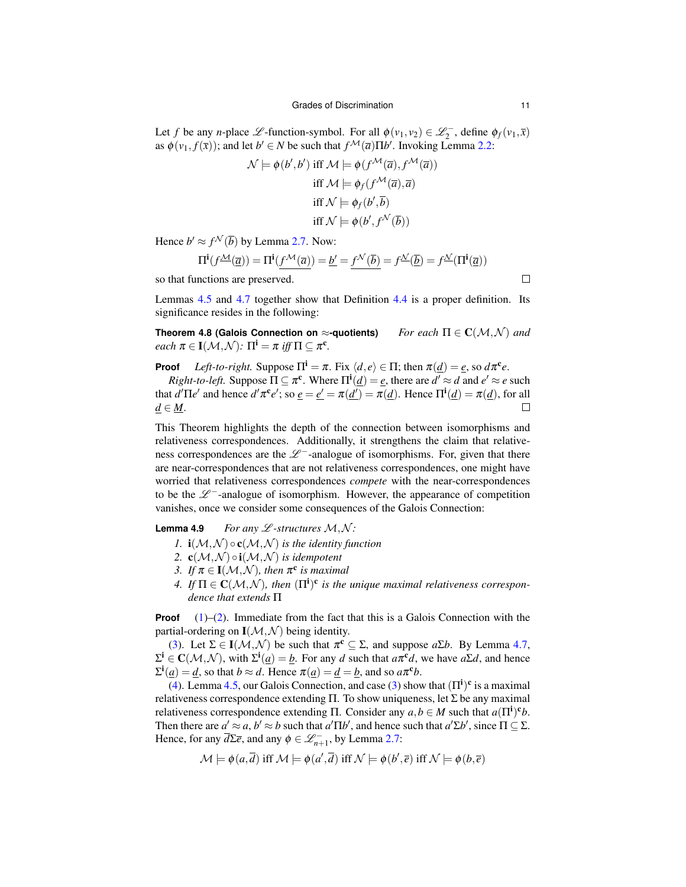Let *f* be any *n*-place  $\mathscr{L}$ -function-symbol. For all  $\phi(v_1, v_2) \in \mathscr{L}_2^-$ , define  $\phi_f(v_1, \bar{x})$ as  $\phi(\nu_1, f(\bar{x}))$ ; and let  $b' \in N$  be such that  $f^{\mathcal{M}}(\bar{a})\Pi b'$ . Invoking Lemma [2.2:](#page-3-1)

$$
\mathcal{N} \models \phi(b', b') \text{ iff } \mathcal{M} \models \phi(f^{\mathcal{M}}(\overline{a}), f^{\mathcal{M}}(\overline{a}))
$$
  
iff 
$$
\mathcal{M} \models \phi_f(f^{\mathcal{M}}(\overline{a}), \overline{a})
$$
  
iff 
$$
\mathcal{N} \models \phi_f(b', \overline{b})
$$
  
iff 
$$
\mathcal{N} \models \phi(b', f^{\mathcal{N}}(\overline{b}))
$$

Hence  $b' \approx f^{\mathcal{N}}(\overline{b})$  by Lemma [2.7.](#page-4-1) Now:

$$
\Pi^{\mathbf{i}}(f^{\mathcal{M}}(\overline{a})) = \Pi^{\mathbf{i}}(\underline{f}^{\mathcal{M}}(\overline{a})) = \underline{b'} = \underline{f^{\mathcal{N}}(\overline{b})} = f^{\mathcal{N}}(\overline{b}) = f^{\mathcal{N}}(\Pi^{\mathbf{i}}(\overline{a}))
$$
 so that functions are preserved.

Lemmas [4.5](#page-9-1) and [4.7](#page-9-2) together show that Definition [4.4](#page-9-3) is a proper definition. Its significance resides in the following:

<span id="page-10-0"></span>**Theorem 4.8 (Galois Connection on**  $\approx$ **-quotients)** *For each*  $\Pi \in \mathbb{C}(\mathcal{M}, \mathcal{N})$  *and*  $\mathit{each}\ \pi \in \mathbf{I}(\mathcal{M},\mathcal{N})\colon \Pi^{\mathbf{i}} = \pi \mathit{ iff}\ \Pi \subseteq \pi^{\mathbf{c}}.$ 

**Proof** *Left-to-right.* Suppose  $\Pi^i = \pi$ . Fix  $\langle d, e \rangle \in \Pi$ ; then  $\pi(\underline{d}) = \underline{e}$ , so  $d\pi^c e$ .

*Right-to-left.* Suppose  $\Pi \subseteq \pi^c$ . Where  $\Pi^i(\underline{d}) = \underline{e}$ , there are  $d' \approx d$  and  $e' \approx e$  such that  $d'\Pi e'$  and hence  $d'\pi^c e'$ ; so  $\underline{e} = \underline{e'} = \pi(\underline{d'}) = \pi(\underline{d})$ . Hence  $\Pi^{\dagger}(\underline{d}) = \pi(\underline{d})$ , for all *d* ∈ *M*.  $\Box$ 

This Theorem highlights the depth of the connection between isomorphisms and relativeness correspondences. Additionally, it strengthens the claim that relativeness correspondences are the  $\mathscr{L}$  –-analogue of isomorphisms. For, given that there are near-correspondences that are not relativeness correspondences, one might have worried that relativeness correspondences *compete* with the near-correspondences to be the  $\mathscr{L}$ -analogue of isomorphism. However, the appearance of competition vanishes, once we consider some consequences of the Galois Connection:

<span id="page-10-5"></span><span id="page-10-1"></span>**Lemma 4.9** *For any*  $L$ *-structures*  $M, N$ *:* 

- *1.* **i**( $M, N$ )  $\circ$  **c**( $M, N$ ) *is the identity function*
- <span id="page-10-2"></span>2.  $c(\mathcal{M}, \mathcal{N}) \circ i(\mathcal{M}, \mathcal{N})$  *is idempotent*
- <span id="page-10-3"></span>3. If  $\pi \in I(\mathcal{M}, \mathcal{N})$ , then  $\pi^c$  is maximal
- <span id="page-10-4"></span>*4.* If  $\Pi \in \mathbb{C}(\mathcal{M}, \mathcal{N})$ , then  $(\Pi^i)^c$  is the unique maximal relativeness correspon*dence that extends* Π

**Proof** [\(1\)](#page-10-1)–[\(2\)](#page-10-2). Immediate from the fact that this is a Galois Connection with the partial-ordering on  $\mathbf{I}(\mathcal{M},\mathcal{N})$  being identity.

[\(3\)](#page-10-3). Let  $\Sigma \in I(\mathcal{M}, \mathcal{N})$  be such that  $\pi^c \subseteq \Sigma$ , and suppose  $a \Sigma b$ . By Lemma [4.7,](#page-9-2)  $\Sigma^i \in \mathbb{C}(\mathcal{M}, \mathcal{N})$ , with  $\Sigma^i(\underline{a}) = \underline{b}$ . For any *d* such that  $a\pi^c d$ , we have  $a\Sigma d$ , and hence  $\Sigma^{\mathbf{i}}(\underline{a}) = \underline{d}$ , so that  $b \approx d$ . Hence  $\pi(\underline{a}) = \underline{d} = \underline{b}$ , and so  $a\pi^{\mathbf{c}}b$ .

[\(4\)](#page-10-4). Lemma [4.5,](#page-9-1) our Galois Connection, and case [\(3\)](#page-10-3) show that  $(\Pi^i)^c$  is a maximal relativeness correspondence extending  $\Pi$ . To show uniqueness, let  $\Sigma$  be any maximal relativeness correspondence extending  $\Pi$ . Consider any  $a, b \in M$  such that  $a(\Pi^i)^c b$ . Then there are  $a' \approx a$ ,  $b' \approx b$  such that  $a' \Pi b'$ , and hence such that  $a' \Sigma b'$ , since  $\Pi \subseteq \Sigma$ . Hence, for any  $\overline{d}\Sigma\overline{e}$ , and any  $\phi \in \mathscr{L}_{n+1}^-$ , by Lemma [2.7:](#page-4-1)

$$
\mathcal{M} \models \phi(a, \overline{d}) \text{ iff } \mathcal{M} \models \phi(a', \overline{d}) \text{ iff } \mathcal{N} \models \phi(b', \overline{e}) \text{ iff } \mathcal{N} \models \phi(b, \overline{e})
$$

 $\Box$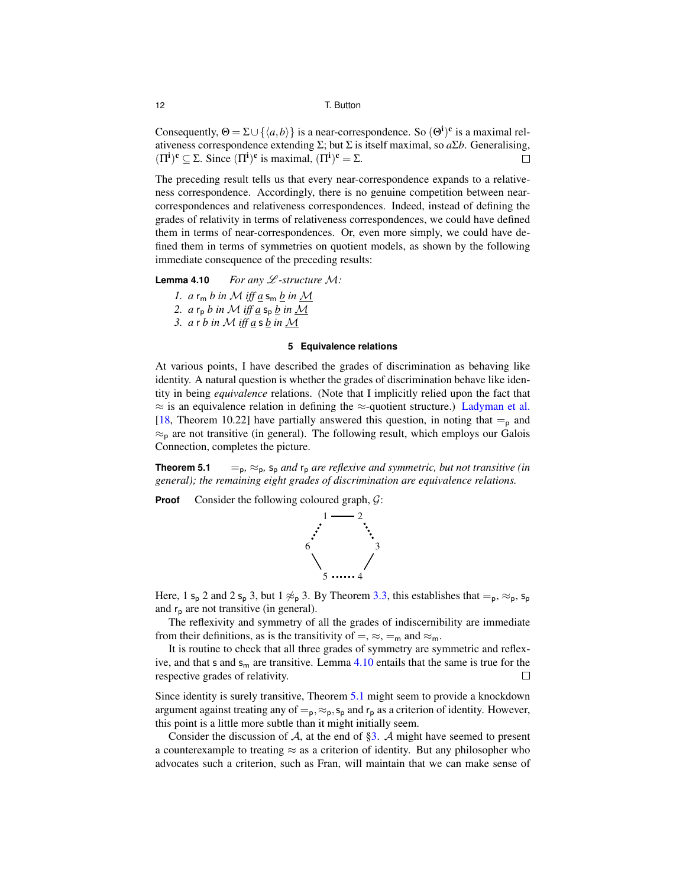<span id="page-11-3"></span>Consequently,  $\Theta = \Sigma \cup \{ \langle a, b \rangle \}$  is a near-correspondence. So  $(\Theta^i)^c$  is a maximal relativeness correspondence extending Σ; but Σ is itself maximal, so *a*Σ*b*. Generalising,  $(\Pi^{i})^c \subseteq \Sigma$ . Since  $(\Pi^{i})^c$  is maximal,  $(\Pi^{i})^c = \Sigma$ .  $\Box$ 

The preceding result tells us that every near-correspondence expands to a relativeness correspondence. Accordingly, there is no genuine competition between nearcorrespondences and relativeness correspondences. Indeed, instead of defining the grades of relativity in terms of relativeness correspondences, we could have defined them in terms of near-correspondences. Or, even more simply, we could have defined them in terms of symmetries on quotient models, as shown by the following immediate consequence of the preceding results:

## <span id="page-11-1"></span>**Lemma 4.10** *For any*  $\mathscr{L}$ *-structure*  $\mathcal{M}$ *:*

*1.*  $a \, r_m \, b \, in \, \mathcal{M}$  iff  $\underline{a} \, s_m \, \underline{b} \, in \, \underline{\mathcal{M}}$ 

2.  $a r_p b$  *in*  $M$  *iff*  $\underline{a} s_p \underline{b}$  *in*  $M$ 

*3. a* r *b in* M *iff a* s *b in* M

#### **5 Equivalence relations**

<span id="page-11-0"></span>At various points, I have described the grades of discrimination as behaving like identity. A natural question is whether the grades of discrimination behave like identity in being *equivalence* relations. (Note that I implicitly relied upon the fact that  $\approx$  is an equivalence relation in defining the  $\approx$ -quotient structure.) [Ladyman et al.](#page-24-5) [\[18,](#page-24-5) Theorem 10.22] have partially answered this question, in noting that  $=_{p}$  and  $\approx_{p}$  are not transitive (in general). The following result, which employs our Galois Connection, completes the picture.

<span id="page-11-2"></span>**Theorem 5.1** =  $\mathbf{p}_p$ ,  $\mathbf{p}_p$ ,  $\mathbf{s}_p$  *and*  $\mathbf{r}_p$  *are reflexive and symmetric, but not transitive (in general); the remaining eight grades of discrimination are equivalence relations.*

**Proof** Consider the following coloured graph, G:



Here, 1 s<sub>p</sub> 2 and 2 s<sub>p</sub> 3, but 1  $\frac{4}{5}$  3. By Theorem [3.3,](#page-5-0) this establishes that =<sub>p</sub>,  $\approx$ <sub>p</sub>, s<sub>p</sub> and  $r_p$  are not transitive (in general).

The reflexivity and symmetry of all the grades of indiscernibility are immediate from their definitions, as is the transitivity of =,  $\approx$ , =<sub>m</sub> and  $\approx$ <sub>m</sub>.

It is routine to check that all three grades of symmetry are symmetric and reflexive, and that s and  $s_m$  are transitive. Lemma [4.10](#page-11-1) entails that the same is true for the respective grades of relativity.  $\Box$ 

Since identity is surely transitive, Theorem [5.1](#page-11-2) might seem to provide a knockdown argument against treating any of  $=_{p}$ ,  $\approx_{p}$ ,  $s_{p}$  and  $r_{p}$  as a criterion of identity. However, this point is a little more subtle than it might initially seem.

Consider the discussion of  $A$ , at the end of [§3.](#page-5-1)  $A$  might have seemed to present a counterexample to treating  $\approx$  as a criterion of identity. But any philosopher who advocates such a criterion, such as Fran, will maintain that we can make sense of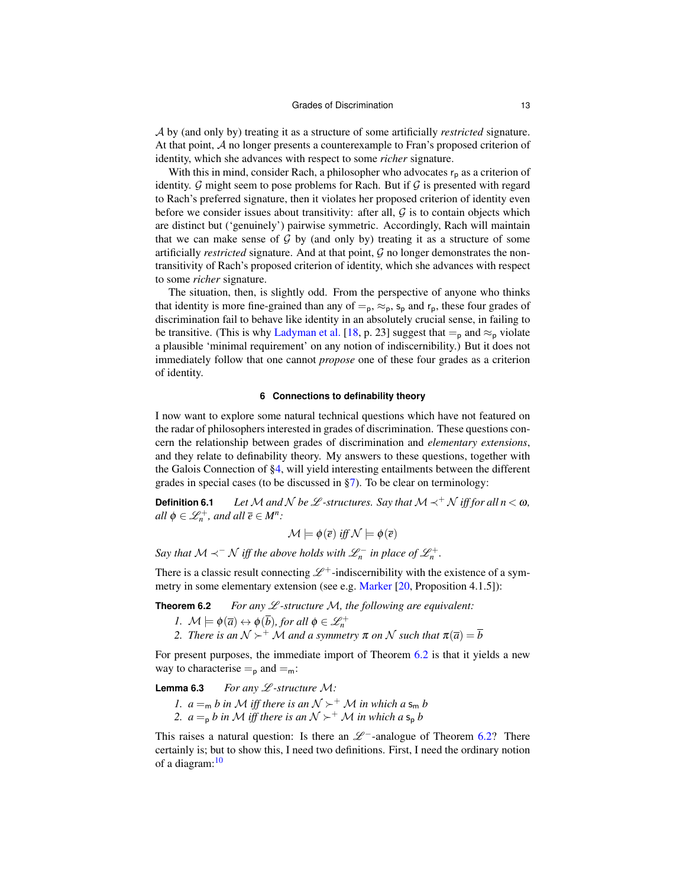<span id="page-12-3"></span>A by (and only by) treating it as a structure of some artificially *restricted* signature. At that point, A no longer presents a counterexample to Fran's proposed criterion of identity, which she advances with respect to some *richer* signature.

With this in mind, consider Rach, a philosopher who advocates  $r_p$  as a criterion of identity.  $G$  might seem to pose problems for Rach. But if  $G$  is presented with regard to Rach's preferred signature, then it violates her proposed criterion of identity even before we consider issues about transitivity: after all,  $\mathcal G$  is to contain objects which are distinct but ('genuinely') pairwise symmetric. Accordingly, Rach will maintain that we can make sense of  $G$  by (and only by) treating it as a structure of some artificially *restricted* signature. And at that point, G no longer demonstrates the nontransitivity of Rach's proposed criterion of identity, which she advances with respect to some *richer* signature.

The situation, then, is slightly odd. From the perspective of anyone who thinks that identity is more fine-grained than any of  $=_{p}$ ,  $\approx_{p}$ ,  $s_{p}$  and  $r_{p}$ , these four grades of discrimination fail to behave like identity in an absolutely crucial sense, in failing to be transitive. (This is why [Ladyman et al.](#page-24-5) [\[18,](#page-24-5) p. 23] suggest that  $=_{p}$  and  $\approx_{p}$  violate a plausible 'minimal requirement' on any notion of indiscernibility.) But it does not immediately follow that one cannot *propose* one of these four grades as a criterion of identity.

#### **6 Connections to definability theory**

<span id="page-12-0"></span>I now want to explore some natural technical questions which have not featured on the radar of philosophers interested in grades of discrimination. These questions concern the relationship between grades of discrimination and *elementary extensions*, and they relate to definability theory. My answers to these questions, together with the Galois Connection of [§4,](#page-8-0) will yield interesting entailments between the different grades in special cases (to be discussed in [§7\)](#page-15-1). To be clear on terminology:

**Definition 6.1** *Let* M and N be L *-structures.* Say that  $M \prec^+ N$  iff for all  $n < \omega$ ,  $all \phi \in \mathscr{L}_n^+$ , and all  $\overline{e} \in M^n$ :

$$
\mathcal{M} \models \phi(\overline{e}) \text{ iff } \mathcal{N} \models \phi(\overline{e})
$$

*Say that*  $\mathcal{M} \prec^{\perp} \mathcal{N}$  *iff the above holds with*  $\mathscr{L}_n^-$  *in place of*  $\mathscr{L}_n^+$ *.* 

There is a classic result connecting  $\mathcal{L}^+$ -indiscernibility with the existence of a sym-metry in some elementary extension (see e.g. [Marker](#page-24-8) [\[20,](#page-24-8) Proposition 4.1.5]):

<span id="page-12-1"></span>**Theorem 6.2** *For any*  $L$ *-structure*  $M$ *, the following are equivalent:* 

- *1.*  $\mathcal{M} \models \phi(\overline{a}) \leftrightarrow \phi(\overline{b})$ *, for all*  $\phi \in \mathcal{L}_n^+$
- *2. There is an*  $\mathcal{N} \succ^+ \mathcal{M}$  *and a symmetry*  $\pi$  *on*  $\mathcal{N}$  *such that*  $\pi(\overline{a}) = \overline{b}$

For present purposes, the immediate import of Theorem [6.2](#page-12-1) is that it yields a new way to characterise  $=_{p}$  and  $=_{m}$ :

<span id="page-12-2"></span>**Lemma 6.3** *For any*  $\mathscr{L}$ *-structure*  $\mathcal{M}$ *:* 

- *1.*  $a = m b$  *in*  $M$  *iff there is an*  $N \succ^+ M$  *in which a*  $s_m b$
- 2.  $a =$ <sub>p</sub> *b* in M iff there is an  $\mathcal{N} \succ^+ \mathcal{M}$  in which a s<sub>p</sub> *b*

This raises a natural question: Is there an  $\mathscr{L}$  –analogue of Theorem [6.2?](#page-12-1) There certainly is; but to show this, I need two definitions. First, I need the ordinary notion of a diagram:<sup>[10](#page-22-9)</sup>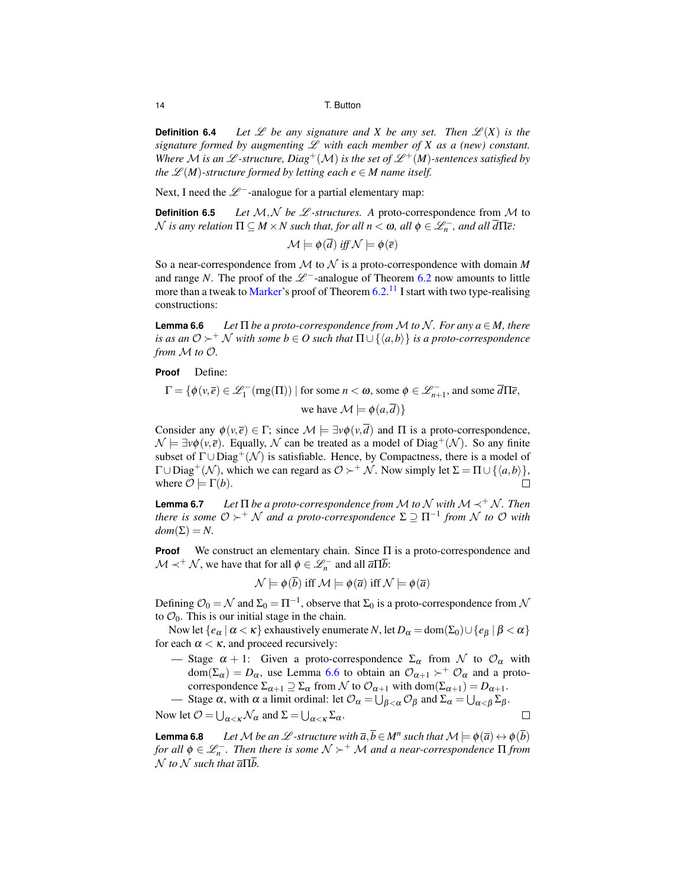<span id="page-13-3"></span>**Definition 6.4** Let  $\mathscr L$  be any signature and X be any set. Then  $\mathscr L(X)$  is the *signature formed by augmenting*  $\mathscr L$  *with each member of X as a (new) constant. Where* M is an  $\mathscr{L}$ -structure, Diag<sup>+</sup>(M) is the set of  $\mathscr{L}^+(M)$ -sentences satisfied by *the*  $\mathscr{L}(M)$ -structure formed by letting each  $e \in M$  name itself.

Next, I need the  $\mathscr{L}$  –-analogue for a partial elementary map:

**Definition 6.5** *Let*  $M$ ,  $\mathcal N$  *be*  $\mathcal L$ *-structures.* A proto-correspondence from  $\mathcal M$  to  $\mathcal N$  *is any relation*  $\Pi\subseteq M\times N$  such that, for all  $n<\omega,$  all  $\phi\in\mathscr L_n^-$ , and all  $\overline{d}\Pi\overline{e}\$ :

$$
\mathcal{M} \models \phi(d) \text{ iff } \mathcal{N} \models \phi(\overline{e})
$$

So a near-correspondence from  $M$  to  $N$  is a proto-correspondence with domain M and range *N*. The proof of the  $\mathcal{L}$  –-analogue of Theorem [6.2](#page-12-1) now amounts to little more than a tweak to [Marker'](#page-24-8)s proof of Theorem  $6.2$ .<sup>[11](#page-22-10)</sup> I start with two type-realising constructions:

<span id="page-13-0"></span>**Lemma 6.6** *Let*  $\Pi$  *be a proto-correspondence from*  $M$  *to*  $N$ *. For any a*  $\in$   $M$ *, there is as an*  $O \succ^+ N$  *with some b*  $\in$  *O such that*  $\Pi \cup \{\langle a,b \rangle\}$  *is a proto-correspondence from* M *to* O*.*

**Proof** Define:

 $\Gamma = \{ \phi(v, \overline{e}) \in \mathscr{L}^-_1(\text{rng}(\Pi)) \mid \text{for some } n < \omega, \text{ some } \phi \in \mathscr{L}^-_{n+1}, \text{ and some } \overline{d}\Pi \overline{e}, \phi(v, \overline{e}) \in \mathscr{L}^-_1(\text{rng}(\Pi)) \mid \text{for some } \overline{e} \in \mathscr{L}^-_1(\text{img}(\Pi)) \}$ we have  $\mathcal{M} \models \phi(a, \overline{d})$ 

Consider any  $\phi(v,\overline{e}) \in \Gamma$ ; since  $\mathcal{M} \models \exists v \phi(v,\overline{d})$  and  $\Pi$  is a proto-correspondence,  $\mathcal{N} \models \exists v \phi(v, \overline{e})$ . Equally,  $\mathcal{N}$  can be treated as a model of Diag<sup>+</sup>( $\mathcal{N}$ ). So any finite subset of  $\Gamma \cup Diag^+(\mathcal{N})$  is satisfiable. Hence, by Compactness, there is a model of  $\Gamma \cup \text{Diag}^+(\mathcal{N})$ , which we can regard as  $\mathcal{O} \rightarrow^+ \mathcal{N}$ . Now simply let  $\Sigma = \Pi \cup \{ \langle a, b \rangle \},$ where  $\mathcal{O} \models \Gamma(b)$ .  $\Box$ 

<span id="page-13-1"></span>**Lemma 6.7** *Let*  $\Pi$  *be a proto-correspondence from*  $M$  *to*  $N$  *with*  $M \prec^+ N$ *. Then there is some*  $O \succ^+ N$  *and a proto-correspondence*  $\Sigma \supseteq \Pi^{-1}$  *from* N *to*  $O$  *with*  $dom(\Sigma) = N$ .

**Proof** We construct an elementary chain. Since Π is a proto-correspondence and  $\mathcal{M} \prec^+ \mathcal{N}$ , we have that for all  $\phi \in \mathscr{L}_n^-$  and all  $\overline{a}\Pi\overline{b}$ :

$$
\mathcal{N} \models \phi(\overline{b}) \text{ iff } \mathcal{M} \models \phi(\overline{a}) \text{ iff } \mathcal{N} \models \phi(\overline{a})
$$

Defining  $\mathcal{O}_0 = \mathcal{N}$  and  $\Sigma_0 = \Pi^{-1}$ , observe that  $\Sigma_0$  is a proto-correspondence from  $\mathcal{N}$ to  $\mathcal{O}_0$ . This is our initial stage in the chain.

Now let  $\{e_\alpha \mid \alpha < \kappa\}$  exhaustively enumerate *N*, let  $D_\alpha = \text{dom}(\Sigma_0) \cup \{e_\beta \mid \beta < \alpha\}$ for each  $\alpha < \kappa$ , and proceed recursively:

— Stage  $\alpha + 1$ : Given a proto-correspondence  $\Sigma_{\alpha}$  from N to  $\mathcal{O}_{\alpha}$  with  $dom(\Sigma_{\alpha}) = D_{\alpha}$ , use Lemma [6.6](#page-13-0) to obtain an  $\mathcal{O}_{\alpha+1} \rightarrow^+ \mathcal{O}_{\alpha}$  and a protocorrespondence  $\Sigma_{\alpha+1} \supseteq \Sigma_{\alpha}$  from N to  $\mathcal{O}_{\alpha+1}$  with dom $(\Sigma_{\alpha+1}) = D_{\alpha+1}$ .

 $\Box$ 

— Stage  $\alpha$ , with  $\alpha$  a limit ordinal: let  $\mathcal{O}_{\alpha} = \bigcup_{\beta < \alpha} \mathcal{O}_{\beta}$  and  $\Sigma_{\alpha} = \bigcup_{\alpha < \beta} \Sigma_{\beta}$ .

Now let  $\mathcal{O} = \bigcup_{\alpha < \kappa} \mathcal{N}_{\alpha}$  and  $\Sigma = \bigcup_{\alpha < \kappa} \Sigma_{\alpha}$ .

<span id="page-13-2"></span>**Lemma 6.8** *Let*  $M$  *be an*  $\mathscr L$  *-structure with*  $\overline{a}, \overline{b} \in M^n$  such that  $M \models \phi(\overline{a}) \leftrightarrow \phi(\overline{b})$ *for all*  $\phi \in \mathscr{L}_n^-$ . Then there is some  $\mathcal{N} \succ^+ \mathcal{M}$  and a near-correspondence  $\Pi$  *from*  $\mathcal N$  *to*  $\mathcal N$  *such that*  $\overline{a}\Pi\overline{b}$ *.*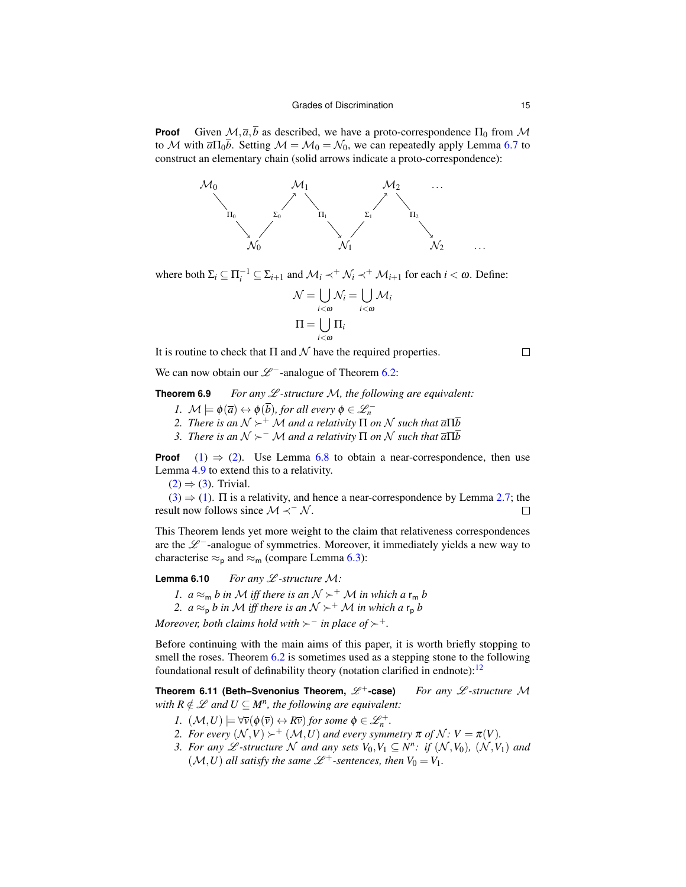**Proof** Given  $M$ , $\overline{a}$ , $\overline{b}$  as described, we have a proto-correspondence  $\Pi_0$  from M to M with  $\overline{a}\Pi_0\overline{b}$ . Setting  $\mathcal{M} = \mathcal{M}_0 = \mathcal{N}_0$ , we can repeatedly apply Lemma [6.7](#page-13-1) to construct an elementary chain (solid arrows indicate a proto-correspondence):



where both  $\Sigma_i \subseteq \Pi_i^{-1} \subseteq \Sigma_{i+1}$  and  $\mathcal{M}_i \prec^+ \mathcal{N}_i \prec^+ \mathcal{M}_{i+1}$  for each  $i < \omega$ . Define:

$$
\mathcal{N} = \bigcup_{i < \omega} \mathcal{N}_i = \bigcup_{i < \omega} \mathcal{M}_i
$$

$$
\Pi = \bigcup_{i < \omega} \Pi_i
$$

It is routine to check that  $\Pi$  and  $\mathcal N$  have the required properties.

We can now obtain our  $\mathscr{L}$  –-analogue of Theorem [6.2:](#page-12-1)

<span id="page-14-3"></span><span id="page-14-0"></span>**Theorem 6.9** *For any*  $\mathcal{L}$ *-structure* M, the following are equivalent:

- *1.*  $\mathcal{M} \models \phi(\overline{a}) \leftrightarrow \phi(\overline{b})$ , for all every  $\phi \in \mathscr{L}_n^-$
- <span id="page-14-1"></span>*2. There is an*  $\mathcal{N} \succ^+ \mathcal{M}$  *and a relativity*  $\Pi$  *on*  $\mathcal{N}$  *such that*  $\overline{a}\Pi\overline{b}$
- <span id="page-14-2"></span>*3. There is an*  $\mathcal{N} \succ^- \mathcal{M}$  *and a relativity*  $\Pi$  *on*  $\mathcal{N}$  *such that*  $\overline{a}\Pi\overline{b}$

**Proof**  $(1) \Rightarrow (2)$  $(1) \Rightarrow (2)$  $(1) \Rightarrow (2)$ . Use Lemma [6.8](#page-13-2) to obtain a near-correspondence, then use Lemma [4.9](#page-10-5) to extend this to a relativity.

 $(2) \Rightarrow (3)$  $(2) \Rightarrow (3)$  $(2) \Rightarrow (3)$ . Trivial.

 $(3) \Rightarrow (1)$  $(3) \Rightarrow (1)$  $(3) \Rightarrow (1)$ . I is a relativity, and hence a near-correspondence by Lemma [2.7;](#page-4-1) the result now follows since  $\mathcal{M} \prec^- \mathcal{N}$ .  $\Box$ 

This Theorem lends yet more weight to the claim that relativeness correspondences are the  $\mathscr{L}^-$ -analogue of symmetries. Moreover, it immediately yields a new way to characterise  $\approx_{p}$  and  $\approx_{m}$  (compare Lemma [6.3\)](#page-12-2):

<span id="page-14-4"></span>**Lemma 6.10** *For any*  $L$ *-structure*  $M$ *:* 

- *1.*  $a \approx_m b$  *in* M *iff there is an*  $N >^+ M$  *in which a*  $r_m b$
- 2.  $a \approx_{p} b$  *in* M *iff there is an*  $N >^{+} M$  *in which a*  $r_{p} b$

*Moreover, both claims hold with*  $\succ^-$  *in place of*  $\succ^+$ *.* 

Before continuing with the main aims of this paper, it is worth briefly stopping to smell the roses. Theorem  $6.2$  is sometimes used as a stepping stone to the following foundational result of definability theory (notation clarified in endnote): $12$ 

**Theorem 6.11 (Beth–Svenonius Theorem,**  $\mathcal{L}^+$ -case) *For any*  $\mathcal{L}$ -structure M *with*  $R \notin \mathscr{L}$  and  $U \subseteq M^n$ , the following are equivalent:

- <span id="page-14-5"></span>*1.*  $(\mathcal{M}, U) \models \forall \overline{v}(\phi(\overline{v}) \leftrightarrow R\overline{v}) \text{ for some } \phi \in \mathscr{L}_n^+.$
- <span id="page-14-7"></span>*2. For every*  $(N, V) \rightarrow^{+} (M, U)$  *and every symmetry*  $\pi$  *of*  $N: V = \pi(V)$ *.*
- <span id="page-14-6"></span>*3. For any*  $\mathscr{L}$ -structure  $\mathcal N$  *and any sets*  $V_0, V_1 \subseteq N^n$ : *if*  $(\mathcal N, V_0)$ *,*  $(\mathcal N, V_1)$  *and*  $(\mathcal{M}, U)$  *all satisfy the same*  $\mathscr{L}^+$ -sentences, then  $V_0 = V_1$ .

 $\Box$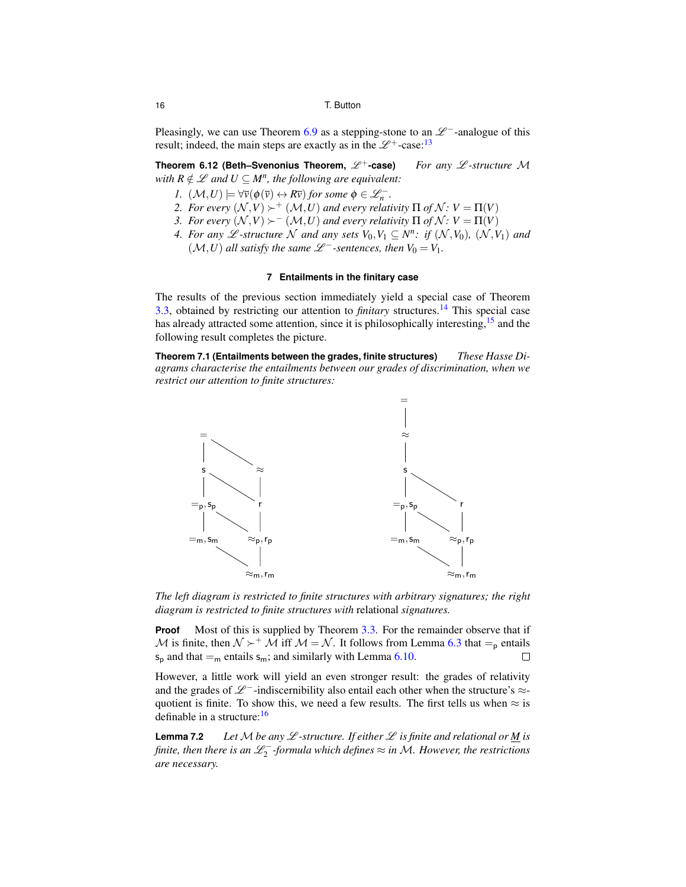Pleasingly, we can use Theorem [6.9](#page-14-3) as a stepping-stone to an  $\mathscr{L}^-$ -analogue of this result; indeed, the main steps are exactly as in the  $\mathscr{L}^+$ -case:<sup>[13](#page-23-3)</sup>

<span id="page-15-0"></span>**Theorem 6.12 (Beth–Svenonius Theorem,**  $\mathscr{L}^+$ -case) *For any*  $\mathscr{L}$ -structure M *with*  $R \notin \mathcal{L}$  and  $U \subseteq M^n$ , the following are equivalent:

- <span id="page-15-5"></span>*1.*  $(\mathcal{M}, U) \models \forall \overline{v}(\phi(\overline{v}) \leftrightarrow R\overline{v}) \text{ for some } \phi \in \mathscr{L}_n^-$ .
- <span id="page-15-4"></span>*2. For every*  $(N, V) \rightarrow^{+} (M, U)$  *and every relativity*  $\Pi$  *of*  $N: V = \Pi(V)$
- *3. For every*  $(N, V) \succ (M, U)$  *and every relativity*  $\Pi$  *of*  $N: V = \Pi(V)$
- *4. For any*  $\mathscr{L}$ -structure  $N$  *and any sets*  $V_0, V_1 \subseteq N^n$ : *if*  $(\mathcal{N}, V_0)$ *,*  $(\mathcal{N}, V_1)$  *and*  $(\mathcal{M}, U)$  *all satisfy the same*  $\mathcal{L}^-$ *-sentences, then*  $V_0 = V_1$ *.*

## **7 Entailments in the finitary case**

<span id="page-15-1"></span>The results of the previous section immediately yield a special case of Theorem [3.3,](#page-5-0) obtained by restricting our attention to *finitary* structures.[14](#page-23-4) This special case has already attracted some attention, since it is philosophically interesting, $15$  and the following result completes the picture.

<span id="page-15-3"></span>**Theorem 7.1 (Entailments between the grades, finite structures)** *These Hasse Diagrams characterise the entailments between our grades of discrimination, when we restrict our attention to finite structures:*



*The left diagram is restricted to finite structures with arbitrary signatures; the right diagram is restricted to finite structures with* relational *signatures.*

**Proof** Most of this is supplied by Theorem [3.3.](#page-5-0) For the remainder observe that if M is finite, then  $N \rightarrow^+ \mathcal{M}$  iff  $\mathcal{M} = \mathcal{N}$ . It follows from Lemma [6.3](#page-12-2) that  $=_{p}$  entails  $s_p$  and that  $=$ <sub>m</sub> entails  $s_m$ ; and similarly with Lemma [6.10.](#page-14-4)  $\Box$ 

However, a little work will yield an even stronger result: the grades of relativity and the grades of  $\mathcal{L}^-$ -indiscernibility also entail each other when the structure's  $\approx$ quotient is finite. To show this, we need a few results. The first tells us when  $\approx$  is definable in a structure:<sup>[16](#page-23-6)</sup>

<span id="page-15-2"></span>**Lemma 7.2** *Let* M *be any*  $\mathcal{L}$ -structure. If either  $\mathcal{L}$  is finite and relational or M is finite, then there is an  $\mathscr{L}^-_2$ -formula which defines  $\approx$  in  $\mathcal M$ . However, the restrictions *are necessary.*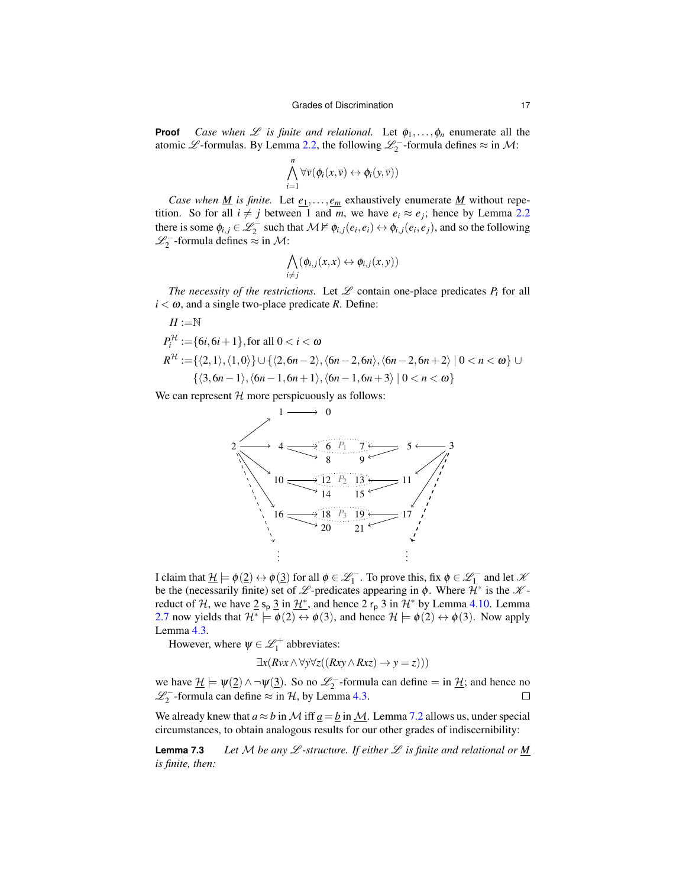**Proof** *Case when*  $\mathscr L$  *is finite and relational.* Let  $\phi_1, \ldots, \phi_n$  enumerate all the atomic L -formulas. By Lemma [2.2,](#page-3-1) the following  $\mathcal{L}_2^-$ -formula defines  $\approx$  in M:

$$
\bigwedge_{i=1}^n \forall \overline{\nu}(\phi_i(x,\overline{\nu}) \leftrightarrow \phi_i(y,\overline{\nu}))
$$

*Case when* <u>*M*</u> *is finite.* Let  $\underline{e_1}, \ldots, \underline{e_m}$  exhaustively enumerate <u>*M*</u> without repetition. So for all  $i \neq j$  between 1 and *m*, we have  $e_i \approx e_j$ ; hence by Lemma [2.2](#page-3-1) there is some  $\phi_{i,j} \in \mathcal{L}_2^-$  such that  $\mathcal{M} \nvDash \phi_{i,j}(e_i, e_i) \leftrightarrow \phi_{i,j}(e_i, e_j)$ , and so the following  $\mathcal{L}_2^{\text{−}}$ -formula defines ≈ in M:

$$
\bigwedge_{i \neq j} (\phi_{i,j}(x,x) \leftrightarrow \phi_{i,j}(x,y))
$$

*The necessity of the restrictions.* Let  $\mathscr L$  contain one-place predicates  $P_i$  for all  $i < \omega$ , and a single two-place predicate *R*. Define:

$$
P_i^{\mathcal{H}} := \{6i, 6i+1\}, \text{for all } 0 < i < \omega
$$
\n
$$
R^{\mathcal{H}} := \{ \langle 2, 1 \rangle, \langle 1, 0 \rangle \} \cup \{ \langle 2, 6n-2 \rangle, \langle 6n-2, 6n \rangle, \langle 6n-2, 6n+2 \rangle \mid 0 < n < \omega \} \cup \{ \langle 3, 6n-1 \rangle, \langle 6n-1, 6n+1 \rangle, \langle 6n-1, 6n+3 \rangle \mid 0 < n < \omega \}
$$

We can represent  $H$  more perspicuously as follows:

 $H \cdot \infty$ 



I claim that  $\underline{\mathcal{H}} \models \phi(\underline{2}) \leftrightarrow \phi(\underline{3})$  for all  $\phi \in \mathscr{L}_1^-$ . To prove this, fix  $\phi \in \mathscr{L}_1^-$  and let  $\mathscr{K}$ be the (necessarily finite) set of  $\mathscr L$ -predicates appearing in  $\phi$ . Where  $\mathcal{H}^*$  is the  $\mathscr K$ reduct of H, we have  $\frac{1}{2}$  s<sub>p</sub>  $\frac{3}{2}$  in  $\frac{H^*}{2}$ , and hence 2 r<sub>p</sub> 3 in  $\mathcal{H}^*$  by Lemma [4.10.](#page-11-1) Lemma [2.7](#page-4-1) now yields that  $\mathcal{H}^* \models \phi(2) \leftrightarrow \phi(3)$ , and hence  $\mathcal{H} \models \phi(2) \leftrightarrow \phi(3)$ . Now apply Lemma [4.3.](#page-9-4)

However, where  $\psi \in \mathcal{L}_1^+$  abbreviates:

$$
\exists x (Rvx \land \forall y \forall z ((Rxy \land Rxz) \to y = z)))
$$

we have  $\underline{\mathcal{H}} \models \psi(\underline{2}) \land \neg \psi(\underline{3})$ . So no  $\mathcal{L}_2^-$ -formula can define  $=$  in  $\underline{\mathcal{H}}$ ; and hence no  $\mathcal{L}_2^$ -formula can define ≈ in H, by Lemma [4.3.](#page-9-4)  $\Box$ 

We already knew that  $a \approx b$  in M iff  $a = b$  in M. Lemma [7.2](#page-15-2) allows us, under special circumstances, to obtain analogous results for our other grades of indiscernibility:

<span id="page-16-0"></span>**Lemma 7.3** *Let* M *be any*  $\mathcal{L}$ -structure. If either  $\mathcal{L}$  is finite and relational or M *is finite, then:*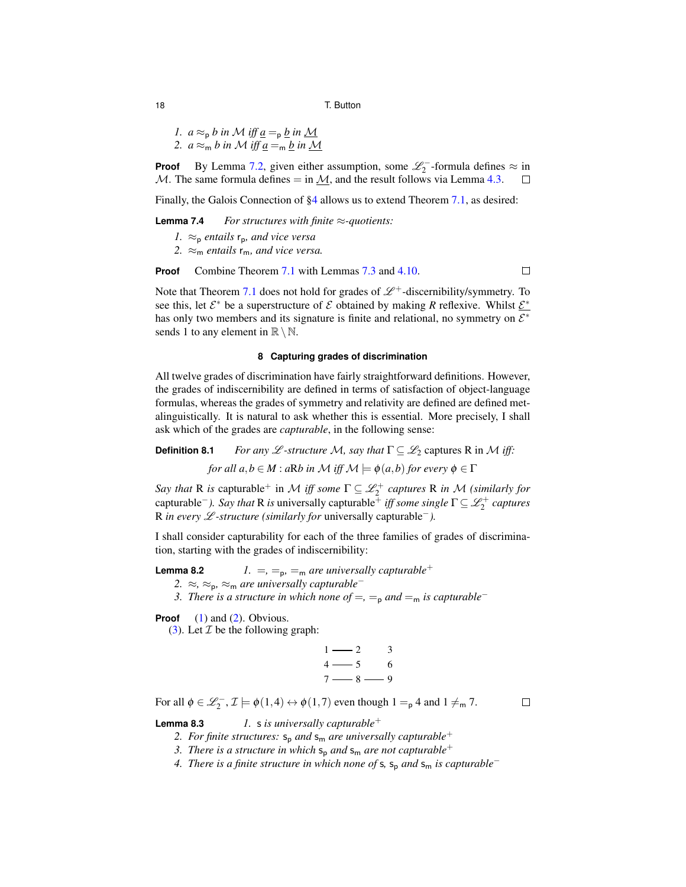*1.*  $a \approx_{p} b$  *in M iff*  $\underline{a} =_{p} \underline{b}$  *in M* 2.  $a \approx_m b$  *in* M *iff*  $a =_m b$  *in* M

**Proof** By Lemma [7.2,](#page-15-2) given either assumption, some  $\mathcal{L}_2^-$ -formula defines  $\approx$  in M. The same formula defines  $=$  in  $\mathcal{M}$ , and the result follows via Lemma [4.3.](#page-9-4)

Finally, the Galois Connection of [§4](#page-8-0) allows us to extend Theorem [7.1,](#page-15-3) as desired:

<span id="page-17-8"></span>**Lemma 7.4** *For structures with finite* ≈*-quotients:*

- *1.*  $\approx_{\text{p}}$  *entails*  $r_{\text{p}}$ *, and vice versa*
- 2.  $\approx_{\text{m}}$  *entails*  $r_{\text{m}}$ *, and vice versa.*

 $\Box$ **Proof** Combine Theorem [7.1](#page-15-3) with Lemmas [7.3](#page-16-0) and [4.10.](#page-11-1)

Note that Theorem [7.1](#page-15-3) does not hold for grades of  $\mathcal{L}^+$ -discernibility/symmetry. To see this, let  $\mathcal{E}^*$  be a superstructure of  $\mathcal E$  obtained by making *R* reflexive. Whilst  $\underline{\mathcal{E}^*}$ has only two members and its signature is finite and relational, no symmetry on  $\mathcal{E}^*$ sends 1 to any element in  $\mathbb{R}\setminus\mathbb{N}$ .

## **8 Capturing grades of discrimination**

<span id="page-17-0"></span>All twelve grades of discrimination have fairly straightforward definitions. However, the grades of indiscernibility are defined in terms of satisfaction of object-language formulas, whereas the grades of symmetry and relativity are defined are defined metalinguistically. It is natural to ask whether this is essential. More precisely, I shall ask which of the grades are *capturable*, in the following sense:

**Definition 8.1** *For any*  $\mathscr L$ -structure M, say that  $\Gamma \subset \mathscr L_2$  captures R in M iff:

*for all a*, $b \in M$  *: aRb in*  $M$  *iff*  $M \models \phi(a, b)$  *for every*  $\phi \in \Gamma$ 

*Say that* **R** *is* capturable<sup>+</sup> in *M iff some*  $\Gamma \subseteq \mathscr{L}_2^+$  *captures* **R** *in M (similarly for* capturable<sup>-</sup>). Say that R is universally capturable<sup> $+$ </sup> iff some single  $\Gamma \subseteq \mathcal{L}_2^+$  captures R *in every £* -structure (similarly for universally capturable<sup>−</sup>).

I shall consider capturability for each of the three families of grades of discrimination, starting with the grades of indiscernibility:

## <span id="page-17-2"></span><span id="page-17-1"></span>**Lemma 8.2** *1.* =, =<sub>p</sub>, =<sub>m</sub> are universally capturable<sup>+</sup>

- *2.* ≈*,* ≈<sub>*p</sub>*, ≈<sub>*m</sub> are universally capturable<sup>−</sup>*</sub></sub>
- <span id="page-17-3"></span>*3. There is a structure in which none of* =,  $=_{p}$  *and*  $=_{m}$  *is capturable*<sup>−</sup>

**Proof** [\(1\)](#page-17-1) and [\(2\)](#page-17-2). Obvious.

 $(3)$ . Let  $\mathcal I$  be the following graph:

| $\overline{\phantom{a}}$<br>$1 \longrightarrow 2$ |  |
|---------------------------------------------------|--|
| $\overline{6}$<br>$4 - 5$                         |  |
| $7 - 8 - 9$                                       |  |

For all  $\phi \in \mathscr{L}_2^-$ ,  $\mathcal{I} \models \phi(1,4) \leftrightarrow \phi(1,7)$  even though  $1 =_{\rho} 4$  and  $1 \neq_{\mathsf{m}} 7$ .

<span id="page-17-5"></span><span id="page-17-4"></span>**Lemma 8.3** *1.* s *is universally capturable*<sup>+</sup>

- 2. For finite structures:  $s_p$  and  $s_m$  are universally capturable<sup>+</sup>
- <span id="page-17-6"></span>*3. There is a structure in which*  $s_p$  *and*  $s_m$  *are not capturable*<sup>+</sup>
- <span id="page-17-7"></span>*4. There is a finite structure in which none of* s, s<sub>p</sub> *and* s<sub>m</sub> *is capturable<sup>−</sup>*

 $\Box$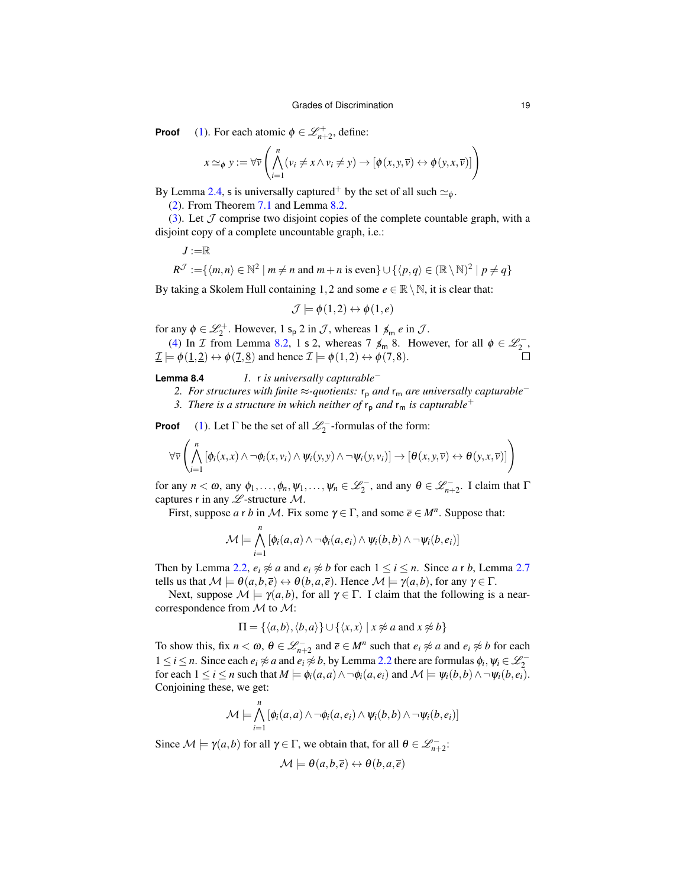**Proof** [\(1\)](#page-17-4). For each atomic  $\phi \in \mathcal{L}_{n+2}^+$ , define:

$$
x \simeq_{\phi} y := \forall \overline{v} \left( \bigwedge_{i=1}^{n} (v_i \neq x \land v_i \neq y) \rightarrow [\phi(x, y, \overline{v}) \leftrightarrow \phi(y, x, \overline{v})] \right)
$$

By Lemma [2.4,](#page-4-0) s is universally captured<sup>+</sup> by the set of all such  $\simeq_{\phi}$ .

[\(2\)](#page-17-5). From Theorem [7.1](#page-15-3) and Lemma [8.2.](#page-0-1)

[\(3\)](#page-17-6). Let  $\mathcal J$  comprise two disjoint copies of the complete countable graph, with a disjoint copy of a complete uncountable graph, i.e.:

 $J := \mathbb{R}$ 

$$
R^{\mathcal{J}} := \{ \langle m, n \rangle \in \mathbb{N}^2 \mid m \neq n \text{ and } m + n \text{ is even} \} \cup \{ \langle p, q \rangle \in (\mathbb{R} \setminus \mathbb{N})^2 \mid p \neq q \}
$$

By taking a Skolem Hull containing 1,2 and some  $e \in \mathbb{R} \setminus \mathbb{N}$ , it is clear that:

$$
\mathcal{J} \models \phi(1,2) \leftrightarrow \phi(1,e)
$$

for any  $\phi \in \mathcal{L}_2^+$ . However, 1 s<sub>p</sub> 2 in  $\mathcal{J}$ , whereas 1  $\sharp_m e$  in  $\mathcal{J}$ .

[\(4\)](#page-17-7) In *I* from Lemma [8.2,](#page-0-1) 1 s 2, whereas  $7 \cancel{s_m}$  8. However, for all  $\phi \in \mathscr{L}_2^-$ ,  $\underline{\mathcal{I}} \models \phi(\underline{1}, \underline{2}) \leftrightarrow \phi(\underline{7}, \underline{8})$  and hence  $\mathcal{I} \models \phi(1, 2) \leftrightarrow \phi(7, 8)$ .

<span id="page-18-1"></span><span id="page-18-0"></span>**Lemma 8.4** *1.* r *is universally capturable*<sup>−</sup>

- *2. For structures with finite* ≈-quotients:  $r_p$  *and*  $r_m$  *are universally capturable*<sup>−</sup>
- <span id="page-18-2"></span>*3. There is a structure in which neither of*  $r_p$  *and*  $r_m$  *is capturable*<sup>+</sup>

**Proof** [\(1\)](#page-18-0). Let  $\Gamma$  be the set of all  $\mathcal{L}_2^-$ -formulas of the form:

$$
\forall \overline{v} \left( \bigwedge_{i=1}^{n} [\phi_i(x,x) \wedge \neg \phi_i(x,v_i) \wedge \psi_i(y,y) \wedge \neg \psi_i(y,v_i)] \rightarrow [\theta(x,y,\overline{v}) \leftrightarrow \theta(y,x,\overline{v})] \right)
$$

for any  $n < \omega$ , any  $\phi_1, \ldots, \phi_n, \psi_1, \ldots, \psi_n \in \mathscr{L}_2^-$ , and any  $\theta \in \mathscr{L}_{n+2}^-$ . I claim that  $\Gamma$ captures r in any  $\mathscr L$ -structure  $\mathcal M$ .

First, suppose *a* r *b* in *M*. Fix some  $\gamma \in \Gamma$ , and some  $\bar{e} \in M^n$ . Suppose that:

$$
\mathcal{M}\models \bigwedge_{i=1}^n [\phi_i(a,a) \wedge \neg \phi_i(a,e_i) \wedge \psi_i(b,b) \wedge \neg \psi_i(b,e_i)]
$$

Then by Lemma [2.2,](#page-3-1)  $e_i \not\approx a$  and  $e_i \not\approx b$  for each  $1 \leq i \leq n$ . Since *a* r *b*, Lemma [2.7](#page-4-1) tells us that  $M \models \theta(a, b, \overline{e}) \leftrightarrow \theta(b, a, \overline{e})$ . Hence  $M \models \gamma(a, b)$ , for any  $\gamma \in \Gamma$ .

Next, suppose  $\mathcal{M} \models \gamma(a,b)$ , for all  $\gamma \in \Gamma$ . I claim that the following is a nearcorrespondence from  $M$  to  $M$ :

$$
\Pi = \{ \langle a, b \rangle, \langle b, a \rangle \} \cup \{ \langle x, x \rangle \mid x \not\approx a \text{ and } x \not\approx b \}
$$

To show this, fix  $n < \omega$ ,  $\theta \in \mathcal{L}_{n+2}^-$  and  $\overline{e} \in M^n$  such that  $e_i \not\approx a$  and  $e_i \not\approx b$  for each  $1 \le i \le n$ . Since each  $e_i \not\approx a$  and  $e_i \not\approx b$ , by Lemma [2.2](#page-3-1) there are formulas  $\phi_i, \psi_i \in \mathcal{L}_2^$ for each  $1 \le i \le n$  such that  $M \models \phi_i(a, a) \land \neg \phi_i(a, e_i)$  and  $M \models \psi_i(b, b) \land \neg \psi_i(b, e_i)$ . Conjoining these, we get:

$$
\mathcal{M}\models \bigwedge_{i=1} [\phi_i(a,a) \wedge \neg \phi_i(a,e_i) \wedge \psi_i(b,b) \wedge \neg \psi_i(b,e_i)]
$$

Since  $\mathcal{M} \models \gamma(a, b)$  for all  $\gamma \in \Gamma$ , we obtain that, for all  $\theta \in \mathcal{L}_{n+2}^-$ :

^*n*

$$
\mathcal{M} \models \theta(a, b, \overline{e}) \leftrightarrow \theta(b, a, \overline{e})
$$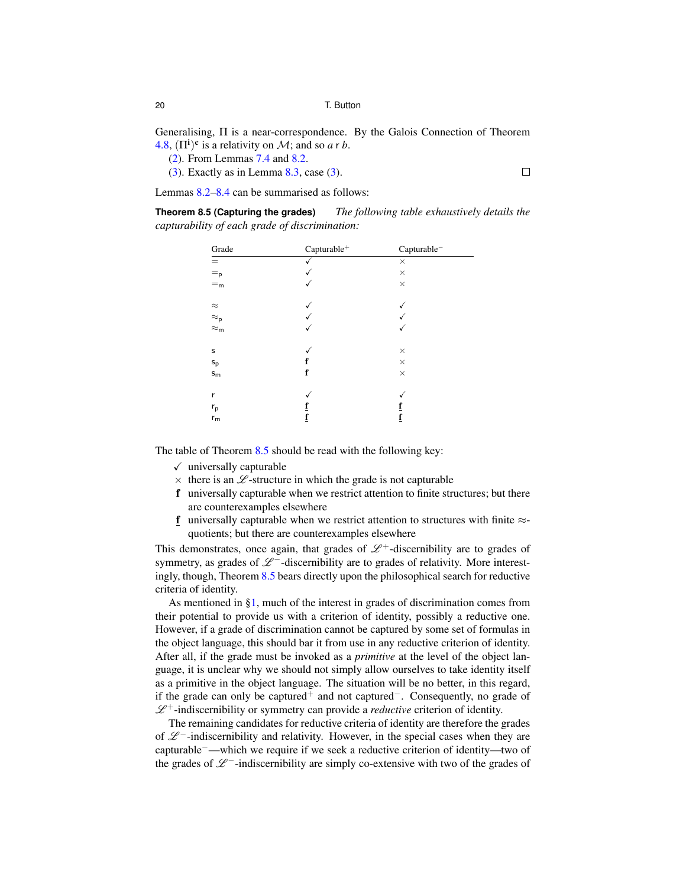Generalising, Π is a near-correspondence. By the Galois Connection of Theorem [4.8,](#page-10-0)  $(\Pi^i)^c$  is a relativity on M; and so *a* r *b*.

 $\Box$ 

[\(2\)](#page-18-1). From Lemmas [7.4](#page-17-8) and [8.2.](#page-0-1)

 $(3)$ . Exactly as in Lemma [8.3,](#page-0-1) case  $(3)$ .

Lemmas [8.2–8.4](#page-0-1) can be summarised as follows:

<span id="page-19-0"></span>**Theorem 8.5 (Capturing the grades)** *The following table exhaustively details the capturability of each grade of discrimination:*

| Grade                                                                             | ${\rm Cap turnable}^+$ | $Capurable^-$ |
|-----------------------------------------------------------------------------------|------------------------|---------------|
| $=$                                                                               |                        | $\times$      |
| $=_{p}$ $=_{m}$                                                                   |                        | $\times$      |
|                                                                                   |                        | $\times$      |
|                                                                                   |                        |               |
|                                                                                   |                        |               |
|                                                                                   |                        |               |
| $\begin{array}{c} \approx \\ \approx_\mathsf{p}\\ \approx_\mathsf{m} \end{array}$ |                        |               |
|                                                                                   |                        |               |
| s                                                                                 |                        | $\times$      |
|                                                                                   | f                      | $\times$      |
| $\mathsf{s}_\mathsf{p}$<br>$\mathsf{s}_\mathsf{m}$                                | f                      | $\times$      |
|                                                                                   |                        |               |
| r                                                                                 |                        |               |
| $r_p$                                                                             |                        |               |
| $r_m$                                                                             | f<br>f                 | f<br>f        |
|                                                                                   |                        |               |

The table of Theorem [8.5](#page-19-0) should be read with the following key:

- $\checkmark$  universally capturable
- $\times$  there is an  $L$ -structure in which the grade is not capturable
- f universally capturable when we restrict attention to finite structures; but there are counterexamples elsewhere
- f universally capturable when we restrict attention to structures with finite  $\approx$ quotients; but there are counterexamples elsewhere

This demonstrates, once again, that grades of  $\mathcal{L}^+$ -discernibility are to grades of symmetry, as grades of  $\mathscr{L}$  –discernibility are to grades of relativity. More interestingly, though, Theorem [8.5](#page-19-0) bears directly upon the philosophical search for reductive criteria of identity.

As mentioned in [§1,](#page-0-0) much of the interest in grades of discrimination comes from their potential to provide us with a criterion of identity, possibly a reductive one. However, if a grade of discrimination cannot be captured by some set of formulas in the object language, this should bar it from use in any reductive criterion of identity. After all, if the grade must be invoked as a *primitive* at the level of the object language, it is unclear why we should not simply allow ourselves to take identity itself as a primitive in the object language. The situation will be no better, in this regard, if the grade can only be captured<sup>+</sup> and not captured−. Consequently, no grade of  $\mathscr{L}^+$ -indiscernibility or symmetry can provide a *reductive* criterion of identity.

The remaining candidates for reductive criteria of identity are therefore the grades of  $\mathscr{L}$ -indiscernibility and relativity. However, in the special cases when they are capturable−—which we require if we seek a reductive criterion of identity—two of the grades of  $\mathscr{L}$  -indiscernibility are simply co-extensive with two of the grades of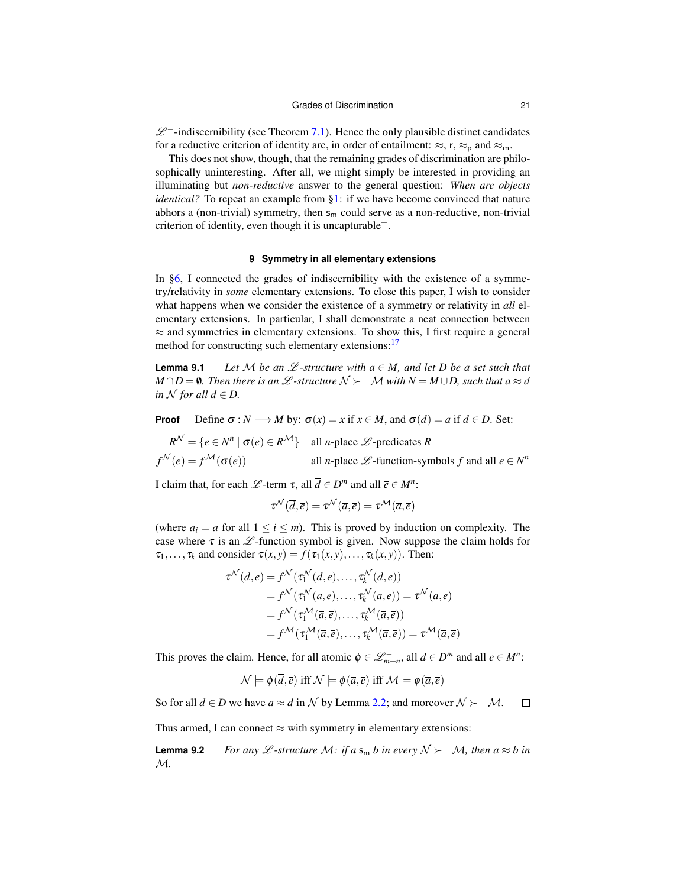#### Grades of Discrimination 21

 $\mathscr{L}$  –-indiscernibility (see Theorem [7.1\)](#page-15-3). Hence the only plausible distinct candidates for a reductive criterion of identity are, in order of entailment:  $\approx$ , r,  $\approx_{p}$  and  $\approx_{m}$ .

This does not show, though, that the remaining grades of discrimination are philosophically uninteresting. After all, we might simply be interested in providing an illuminating but *non-reductive* answer to the general question: *When are objects identical?* To repeat an example from [§1:](#page-0-0) if we have become convinced that nature abhors a (non-trivial) symmetry, then  $s_m$  could serve as a non-reductive, non-trivial criterion of identity, even though it is uncapturable<sup>+</sup>.

## **9 Symmetry in all elementary extensions**

<span id="page-20-0"></span>In [§6,](#page-12-0) I connected the grades of indiscernibility with the existence of a symmetry/relativity in *some* elementary extensions. To close this paper, I wish to consider what happens when we consider the existence of a symmetry or relativity in *all* elementary extensions. In particular, I shall demonstrate a neat connection between  $\approx$  and symmetries in elementary extensions. To show this, I first require a general method for constructing such elementary extensions:<sup>[17](#page-23-7)</sup>

<span id="page-20-1"></span>**Lemma 9.1** *Let*  $M$  *be an*  $L$ -structure with  $a \in M$ , and let D be a set such that *M* ∩ *D* = 0*.* Then there is an  $L$ -structure  $N \succ$ <sup>-</sup>  $M$  with  $N = M \cup D$ , such that a  $\approx d$ *in*  $\mathcal N$  *for all*  $d \in D$ .

**Proof** Define  $\sigma : N \longrightarrow M$  by:  $\sigma(x) = x$  if  $x \in M$ , and  $\sigma(d) = a$  if  $d \in D$ . Set:

 $R^{\mathcal{N}} = \{ \overline{e} \in N^n \mid \sigma(\overline{e}) \in R^{\mathcal{M}} \}$  all *n*-place  $\mathcal{L}$ -predicates *R*  $f^{\mathcal{N}}(\overline{e}) = f^{\mathcal{M}}(\sigma(\overline{e}))$  $N(\bar{e}) = f^{\mathcal{M}}(\sigma(\bar{e}))$  all *n*-place  $\mathscr{L}$ -function-symbols *f* and all  $\bar{e} \in N^n$ 

I claim that, for each  $\mathscr{L}$ -term  $\tau$ , all  $\overline{d} \in D^m$  and all  $\overline{e} \in M^n$ :

$$
\tau^{\mathcal{N}}(\overline{d},\overline{e})=\tau^{\mathcal{N}}(\overline{a},\overline{e})=\tau^{\mathcal{M}}(\overline{a},\overline{e})
$$

(where  $a_i = a$  for all  $1 \le i \le m$ ). This is proved by induction on complexity. The case where  $\tau$  is an  $\mathscr{L}$ -function symbol is given. Now suppose the claim holds for  $\tau_1, \ldots, \tau_k$  and consider  $\tau(\bar{x}, \bar{y}) = f(\tau_1(\bar{x}, \bar{y}), \ldots, \tau_k(\bar{x}, \bar{y}))$ . Then:

$$
\tau^{\mathcal{N}}(\overline{d},\overline{e}) = f^{\mathcal{N}}(\tau_1^{\mathcal{N}}(\overline{d},\overline{e}),\ldots,\tau_k^{\mathcal{N}}(\overline{d},\overline{e}))
$$
  
\n
$$
= f^{\mathcal{N}}(\tau_1^{\mathcal{N}}(\overline{a},\overline{e}),\ldots,\tau_k^{\mathcal{N}}(\overline{a},\overline{e})) = \tau^{\mathcal{N}}(\overline{a},\overline{e})
$$
  
\n
$$
= f^{\mathcal{N}}(\tau_1^{\mathcal{M}}(\overline{a},\overline{e}),\ldots,\tau_k^{\mathcal{M}}(\overline{a},\overline{e}))
$$
  
\n
$$
= f^{\mathcal{M}}(\tau_1^{\mathcal{M}}(\overline{a},\overline{e}),\ldots,\tau_k^{\mathcal{M}}(\overline{a},\overline{e})) = \tau^{\mathcal{M}}(\overline{a},\overline{e})
$$

This proves the claim. Hence, for all atomic  $\phi \in \mathcal{L}_{m+n}^-$ , all  $\overline{d} \in D^m$  and all  $\overline{e} \in M^n$ :

$$
\mathcal{N} \models \phi(\overline{d}, \overline{e}) \text{ iff } \mathcal{N} \models \phi(\overline{a}, \overline{e}) \text{ iff } \mathcal{M} \models \phi(\overline{a}, \overline{e})
$$

So for all  $d \in D$  we have  $a \approx d$  in  $\mathcal N$  by Lemma [2.2;](#page-3-1) and moreover  $\mathcal N \succ^{-} \mathcal M$ .  $\Box$ 

Thus armed, I can connect  $\approx$  with symmetry in elementary extensions:

<span id="page-20-2"></span>**Lemma 9.2** *For any*  $\mathscr L$ -structure  $\mathcal M$ : if a s<sub>m</sub> b in every  $\mathcal N \succ$ <sup>-</sup>  $\mathcal M$ , then a  $\approx$  b in M*.*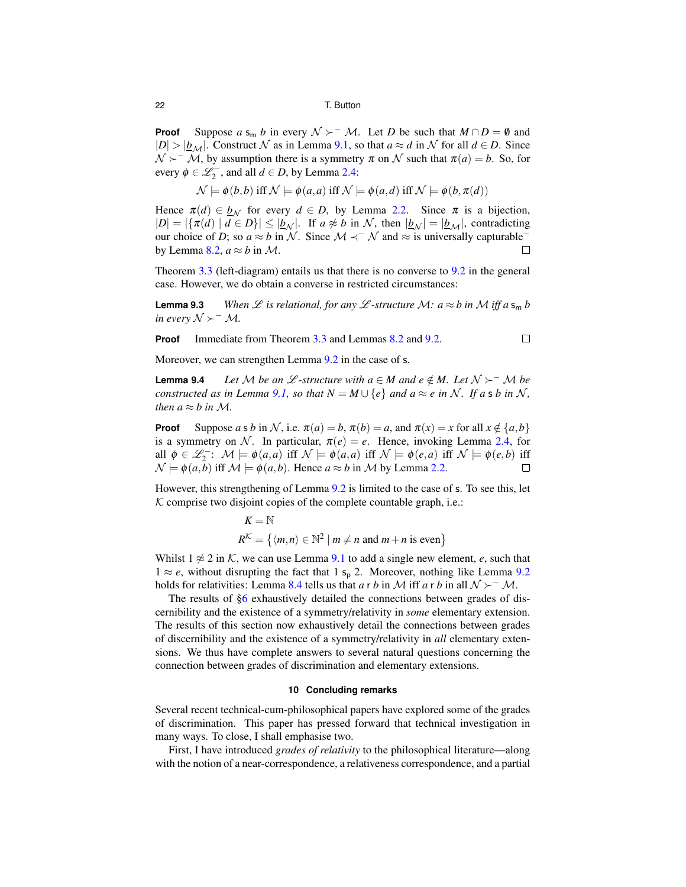**Proof** Suppose *a* s<sub>m</sub> *b* in every  $\mathcal{N} \succ^- \mathcal{M}$ . Let *D* be such that  $M \cap D = \emptyset$  and  $|D| > |b_M|$ . Construct N as in Lemma [9.1,](#page-20-1) so that  $a \approx d$  in N for all  $d \in D$ . Since  $N \succ^{-} M$ , by assumption there is a symmetry  $\pi$  on N such that  $\pi(a) = b$ . So, for every  $\phi \in \mathscr{L}_2^-$ , and all  $d \in D$ , by Lemma [2.4:](#page-4-0)

$$
\mathcal{N} \models \phi(b, b) \text{ iff } \mathcal{N} \models \phi(a, a) \text{ iff } \mathcal{N} \models \phi(a, d) \text{ iff } \mathcal{N} \models \phi(b, \pi(d))
$$

Hence  $\pi(d) \in \underline{b}_N$  for every  $d \in D$ , by Lemma [2.2.](#page-3-1) Since  $\pi$  is a bijection,  $|D| = |\{\pi(d) \mid d \in D\}| \leq |b_N|$ . If  $a \not\approx b$  in N, then  $|b_N| = |b_M|$ , contradicting our choice of *D*; so  $a \approx b$  in N. Since  $\mathcal{M} \prec^{-} \mathcal{N}$  and  $\approx$  is universally capturable<sup>-</sup> by Lemma [8.2,](#page-0-1)  $a \approx b$  in M.  $\Box$ 

Theorem [3.3](#page-5-0) (left-diagram) entails us that there is no converse to [9.2](#page-20-2) in the general case. However, we do obtain a converse in restricted circumstances:

**Lemma 9.3** *When* L *is relational, for any* L *-structure* M:  $a \approx b$  *in* M *iff*  $a \simeq_b b$ *in every*  $\mathcal{N} \succ^{-} \mathcal{M}$ .

**Proof** Immediate from Theorem [3.3](#page-5-0) and Lemmas [8.2](#page-0-1) and [9.2.](#page-20-2)

$$
\Box
$$

Moreover, we can strengthen Lemma [9.2](#page-20-2) in the case of s.

**Lemma 9.4** *Let* M *be an*  $\mathcal{L}$ *-structure with*  $a \in M$  *and*  $e \notin M$ *. Let*  $\mathcal{N} \succ^{-} \mathcal{M}$  *be constructed as in Lemma [9.1,](#page-20-1) so that*  $N = M \cup \{e\}$  *and a*  $\approx e$  *in* N. If *a* **s** *b in* N, *then*  $a \approx b$  *in*  $\mathcal{M}$ *.* 

**Proof** Suppose *a* s *b* in N, i.e.  $\pi(a) = b$ ,  $\pi(b) = a$ , and  $\pi(x) = x$  for all  $x \notin \{a, b\}$ is a symmetry on N. In particular,  $\pi(e) = e$ . Hence, invoking Lemma [2.4,](#page-4-0) for all  $\phi \in \mathscr{L}_2^-$ :  $\mathcal{M} \models \phi(a,a)$  iff  $\mathcal{N} \models \phi(a,a)$  iff  $\mathcal{N} \models \phi(e,a)$  iff  $\mathcal{N} \models \phi(e,b)$  iff  $\mathcal{N} \models \phi(a, b)$  iff  $\mathcal{M} \models \phi(a, b)$ . Hence  $a \approx b$  in  $\mathcal{M}$  by Lemma [2.2.](#page-3-1)  $\Box$ 

However, this strengthening of Lemma [9.2](#page-20-2) is limited to the case of s. To see this, let  $K$  comprise two disjoint copies of the complete countable graph, i.e.:

$$
K = \mathbb{N}
$$
  

$$
R^{K} = \{ \langle m, n \rangle \in \mathbb{N}^{2} \mid m \neq n \text{ and } m + n \text{ is even} \}
$$

Whilst  $1 \approx 2$  in K, we can use Lemma [9.1](#page-20-1) to add a single new element, *e*, such that  $1 \approx e$ , without disrupting the fact that  $1 s_p 2$ . Moreover, nothing like Lemma [9.2](#page-20-2) holds for relativities: Lemma [8.4](#page-0-1) tells us that *a* r *b* in *M* iff *a* r *b* in all  $N \succ$ <sup>-</sup> *M*.

The results of [§6](#page-12-0) exhaustively detailed the connections between grades of discernibility and the existence of a symmetry/relativity in *some* elementary extension. The results of this section now exhaustively detail the connections between grades of discernibility and the existence of a symmetry/relativity in *all* elementary extensions. We thus have complete answers to several natural questions concerning the connection between grades of discrimination and elementary extensions.

#### **10 Concluding remarks**

Several recent technical-cum-philosophical papers have explored some of the grades of discrimination. This paper has pressed forward that technical investigation in many ways. To close, I shall emphasise two.

First, I have introduced *grades of relativity* to the philosophical literature—along with the notion of a near-correspondence, a relativeness correspondence, and a partial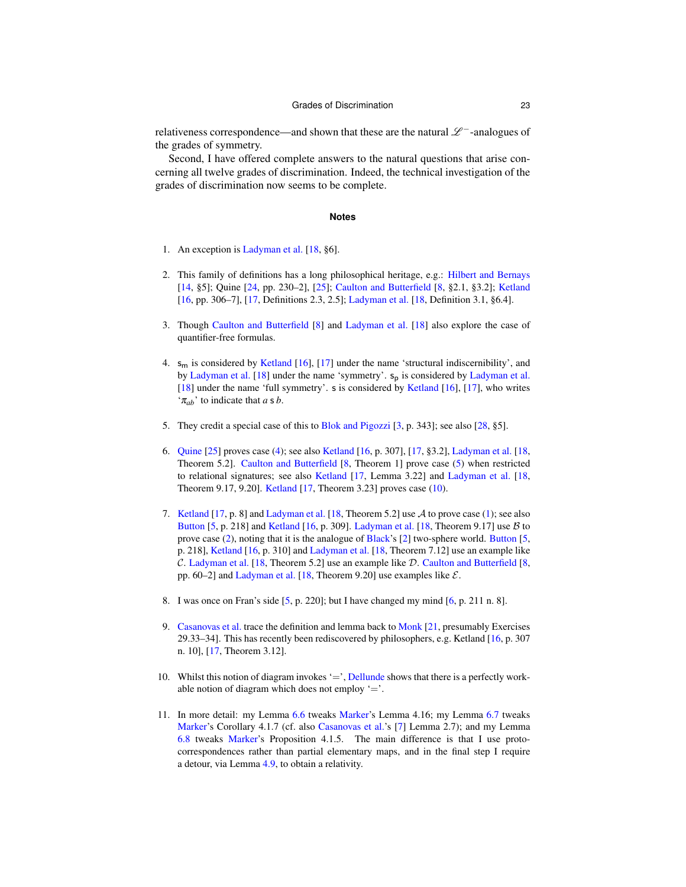#### Grades of Discrimination 23

<span id="page-22-11"></span>relativeness correspondence—and shown that these are the natural  $\mathscr{L}^-$ -analogues of the grades of symmetry.

Second, I have offered complete answers to the natural questions that arise concerning all twelve grades of discrimination. Indeed, the technical investigation of the grades of discrimination now seems to be complete.

## **Notes**

- <span id="page-22-0"></span>1. An exception is [Ladyman et al.](#page-24-5) [\[18,](#page-24-5) §6].
- <span id="page-22-1"></span>2. This family of definitions has a long philosophical heritage, e.g.: [Hilbert and Bernays](#page-24-9) [\[14,](#page-24-9) §5]; Quine [\[24,](#page-24-10) pp. 230–2], [\[25\]](#page-24-7); [Caulton and Butterfield](#page-24-3) [\[8,](#page-24-3) §2.1, §3.2]; [Ketland](#page-24-4) [\[16,](#page-24-11) pp. 306–7], [\[17,](#page-24-4) Definitions 2.3, 2.5]; [Ladyman et al.](#page-24-5) [\[18,](#page-24-5) Definition 3.1, §6.4].
- <span id="page-22-2"></span>3. Though [Caulton and Butterfield](#page-24-3) [\[8\]](#page-24-3) and [Ladyman et al.](#page-24-5) [\[18\]](#page-24-5) also explore the case of quantifier-free formulas.
- <span id="page-22-3"></span>4.  $s_m$  is considered by [Ketland](#page-24-4) [\[16\]](#page-24-11), [\[17\]](#page-24-4) under the name 'structural indiscernibility', and by [Ladyman et al.](#page-24-5) [\[18\]](#page-24-5) under the name 'symmetry'.  $s_p$  is considered by Ladyman et al. [\[18\]](#page-24-5) under the name 'full symmetry'. s is considered by [Ketland](#page-24-4) [\[16\]](#page-24-11), [\[17\]](#page-24-4), who writes 'π*ab*' to indicate that *a* s *b*.
- <span id="page-22-4"></span>5. They credit a special case of this to [Blok and Pigozzi](#page-23-8) [\[3,](#page-23-8) p. 343]; see also [\[28,](#page-25-0) §5].
- <span id="page-22-5"></span>6. [Quine](#page-24-7) [\[25\]](#page-24-7) proves case [\(4\)](#page-6-3); see also [Ketland](#page-24-11) [\[16,](#page-24-11) p. 307], [\[17,](#page-24-4) §3.2], [Ladyman et al.](#page-24-5) [\[18,](#page-24-5) Theorem 5.2]. [Caulton and Butterfield](#page-24-3) [\[8,](#page-24-3) Theorem 1] prove case [\(5\)](#page-6-4) when restricted to relational signatures; see also [Ketland](#page-24-4) [\[17,](#page-24-4) Lemma 3.22] and [Ladyman et al.](#page-24-5) [\[18,](#page-24-5) Theorem 9.17, 9.20]. [Ketland](#page-24-4) [\[17,](#page-24-4) Theorem 3.23] proves case [\(10\)](#page-6-9).
- <span id="page-22-6"></span>7. [Ketland](#page-24-4) [\[17,](#page-24-4) p. 8] and [Ladyman et al.](#page-24-5) [\[18,](#page-24-5) Theorem 5.2] use A to prove case [\(1\)](#page-7-0); see also [Button](#page-23-9) [\[5,](#page-23-9) p. 218] and [Ketland](#page-24-11) [\[16,](#page-24-11) p. 309]. [Ladyman et al.](#page-24-5) [\[18,](#page-24-5) Theorem 9.17] use  $\beta$  to prove case [\(2\)](#page-7-1), noting that it is the analogue of [Black'](#page-23-0)s [\[2\]](#page-23-0) two-sphere world. [Button](#page-23-9) [\[5,](#page-23-9) p. 218], [Ketland](#page-24-11) [\[16,](#page-24-11) p. 310] and [Ladyman et al.](#page-24-5) [\[18,](#page-24-5) Theorem 7.12] use an example like C. [Ladyman et al.](#page-24-5) [\[18,](#page-24-5) Theorem 5.2] use an example like  $D$ . [Caulton and Butterfield](#page-24-3) [\[8,](#page-24-3) pp. 60–2] and [Ladyman et al.](#page-24-5) [\[18,](#page-24-5) Theorem 9.20] use examples like  $\mathcal{E}$ .
- <span id="page-22-7"></span>8. I was once on Fran's side [\[5,](#page-23-9) p. 220]; but I have changed my mind [\[6,](#page-23-10) p. 211 n. 8].
- <span id="page-22-8"></span>9. [Casanovas et al.](#page-24-6) trace the definition and lemma back to [Monk](#page-24-12) [\[21,](#page-24-12) presumably Exercises 29.33–34]. This has recently been rediscovered by philosophers, e.g. Ketland  $[16, p. 307]$  $[16, p. 307]$ n. 10], [\[17,](#page-24-4) Theorem 3.12].
- <span id="page-22-9"></span>10. Whilst this notion of diagram invokes  $=$ , [Dellunde](#page-24-13) shows that there is a perfectly workable notion of diagram which does not employ  $\equiv$ .
- <span id="page-22-10"></span>11. In more detail: my Lemma [6.6](#page-13-0) tweaks [Marker'](#page-24-8)s Lemma 4.16; my Lemma [6.7](#page-13-1) tweaks [Marker'](#page-24-8)s Corollary 4.1.7 (cf. also [Casanovas et al.'](#page-24-6)s [\[7\]](#page-24-6) Lemma 2.7); and my Lemma [6.8](#page-13-2) tweaks [Marker'](#page-24-8)s Proposition 4.1.5. The main difference is that I use protocorrespondences rather than partial elementary maps, and in the final step I require a detour, via Lemma [4.9,](#page-10-5) to obtain a relativity.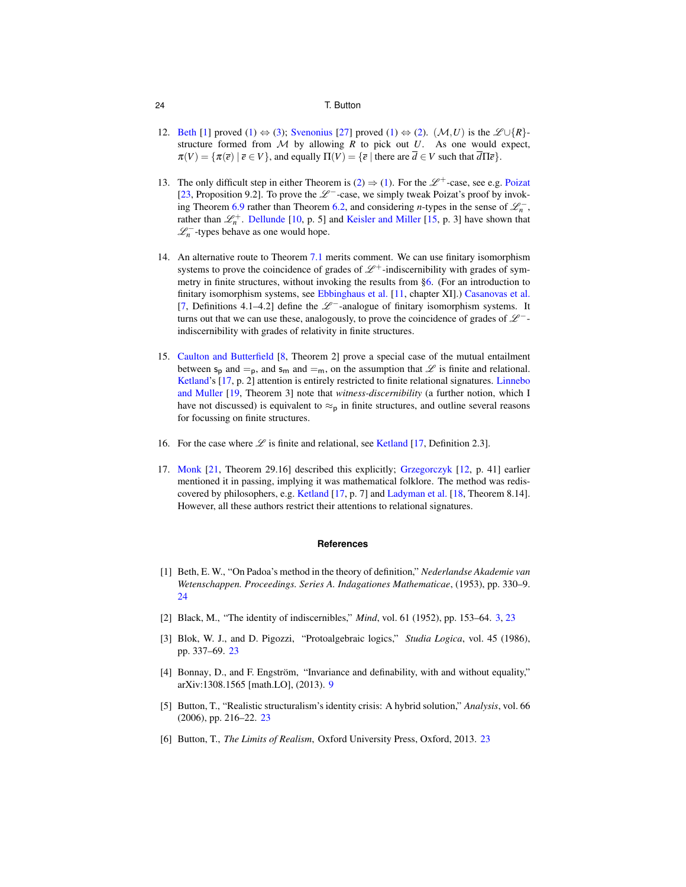- <span id="page-23-2"></span>12. [Beth](#page-23-11) [\[1\]](#page-23-11) proved [\(1\)](#page-14-5)  $\Leftrightarrow$  [\(3\)](#page-14-6); [Svenonius](#page-25-1) [\[27\]](#page-25-1) proved (1)  $\Leftrightarrow$  [\(2\)](#page-14-7). (*M*,*U*) is the  $\mathscr{L}\cup\{R\}$ structure formed from  $M$  by allowing  $R$  to pick out  $U$ . As one would expect,  $\pi(V) = {\pi(\overline{e}) \mid \overline{e} \in V}$ , and equally  $\Pi(V) = {\overline{e} \mid \text{there are } \overline{d} \in V \text{ such that } \overline{d\Pi}\overline{e}$ .
- <span id="page-23-3"></span>13. The only difficult step in either Theorem is [\(2\)](#page-15-4)  $\Rightarrow$  [\(1\)](#page-15-5). For the  $\mathscr{L}^+$ -case, see e.g. [Poizat](#page-24-14) [\[23,](#page-24-14) Proposition 9.2]. To prove the  $\mathscr{L}$  –-case, we simply tweak Poizat's proof by invok-ing Theorem [6.9](#page-14-3) rather than Theorem [6.2,](#page-12-1) and considering *n*-types in the sense of  $\mathcal{L}_n^-$ , rather than  $\mathcal{L}_n^+$ . [Dellunde](#page-24-15) [\[10,](#page-24-15) p. 5] and [Keisler and Miller](#page-24-16) [\[15,](#page-24-16) p. 3] have shown that  $\mathcal{L}_n^-$ -types behave as one would hope.
- <span id="page-23-4"></span>14. An alternative route to Theorem [7.1](#page-15-3) merits comment. We can use finitary isomorphism systems to prove the coincidence of grades of  $\mathcal{L}^+$ -indiscernibility with grades of symmetry in finite structures, without invoking the results from [§6.](#page-12-0) (For an introduction to finitary isomorphism systems, see [Ebbinghaus et al.](#page-24-17) [\[11,](#page-24-17) chapter XI].) [Casanovas et al.](#page-24-6) [\[7,](#page-24-6) Definitions 4.1–4.2] define the  $\mathcal{L}$  -analogue of finitary isomorphism systems. It turns out that we can use these, analogously, to prove the coincidence of grades of  $\mathcal{L}$  indiscernibility with grades of relativity in finite structures.
- <span id="page-23-5"></span>15. [Caulton and Butterfield](#page-24-3) [\[8,](#page-24-3) Theorem 2] prove a special case of the mutual entailment between  $s_p$  and  $s_p$ , and  $s_m$  and  $s_m$ , on the assumption that  $\mathscr L$  is finite and relational. [Ketland'](#page-24-4)s [\[17,](#page-24-4) p. 2] attention is entirely restricted to finite relational signatures. [Linnebo](#page-24-18) [and Muller](#page-24-18) [\[19,](#page-24-18) Theorem 3] note that *witness-discernibility* (a further notion, which I have not discussed) is equivalent to  $\approx_{p}$  in finite structures, and outline several reasons for focussing on finite structures.
- <span id="page-23-6"></span>16. For the case where  $\mathscr L$  is finite and relational, see [Ketland](#page-24-4) [\[17,](#page-24-4) Definition 2.3].
- <span id="page-23-7"></span>17. [Monk](#page-24-12) [\[21,](#page-24-12) Theorem 29.16] described this explicitly; [Grzegorczyk](#page-24-19) [\[12,](#page-24-19) p. 41] earlier mentioned it in passing, implying it was mathematical folklore. The method was rediscovered by philosophers, e.g. [Ketland](#page-24-4) [\[17,](#page-24-4) p. 7] and [Ladyman et al.](#page-24-5) [\[18,](#page-24-5) Theorem 8.14]. However, all these authors restrict their attentions to relational signatures.

#### **References**

- <span id="page-23-11"></span>[1] Beth, E. W., "On Padoa's method in the theory of definition," *Nederlandse Akademie van Wetenschappen. Proceedings. Series A. Indagationes Mathematicae*, (1953), pp. 330–9. [24](#page-23-12)
- <span id="page-23-0"></span>[2] Black, M., "The identity of indiscernibles," *Mind*, vol. 61 (1952), pp. 153–64. [3,](#page-2-0) [23](#page-22-11)
- <span id="page-23-8"></span>[3] Blok, W. J., and D. Pigozzi, "Protoalgebraic logics," *Studia Logica*, vol. 45 (1986), pp. 337–69. [23](#page-22-11)
- <span id="page-23-1"></span>[4] Bonnay, D., and F. Engström, "Invariance and definability, with and without equality," arXiv:1308.1565 [math.LO], (2013). [9](#page-8-1)
- <span id="page-23-9"></span>[5] Button, T., "Realistic structuralism's identity crisis: A hybrid solution," *Analysis*, vol. 66 (2006), pp. 216–22. [23](#page-22-11)
- <span id="page-23-10"></span>[6] Button, T., *The Limits of Realism*, Oxford University Press, Oxford, 2013. [23](#page-22-11)

<span id="page-23-12"></span>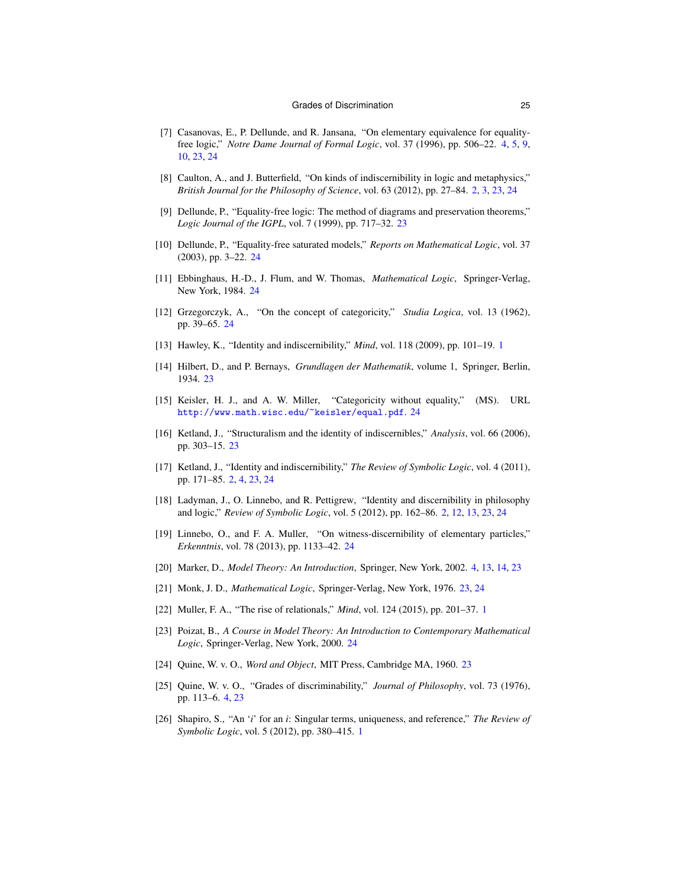#### Grades of Discrimination 25

- <span id="page-24-6"></span>[7] Casanovas, E., P. Dellunde, and R. Jansana, "On elementary equivalence for equalityfree logic," *Notre Dame Journal of Formal Logic*, vol. 37 (1996), pp. 506–22. [4,](#page-3-2) [5,](#page-4-2) [9,](#page-8-1) [10,](#page-9-5) [23,](#page-22-11) [24](#page-23-12)
- <span id="page-24-3"></span>[8] Caulton, A., and J. Butterfield, "On kinds of indiscernibility in logic and metaphysics," *British Journal for the Philosophy of Science*, vol. 63 (2012), pp. 27–84. [2,](#page-1-0) [3,](#page-2-0) [23,](#page-22-11) [24](#page-23-12)
- <span id="page-24-13"></span>[9] Dellunde, P., "Equality-free logic: The method of diagrams and preservation theorems," *Logic Journal of the IGPL*, vol. 7 (1999), pp. 717–32. [23](#page-22-11)
- <span id="page-24-15"></span>[10] Dellunde, P., "Equality-free saturated models," *Reports on Mathematical Logic*, vol. 37 (2003), pp. 3–22. [24](#page-23-12)
- <span id="page-24-17"></span>[11] Ebbinghaus, H.-D., J. Flum, and W. Thomas, *Mathematical Logic*, Springer-Verlag, New York, 1984. [24](#page-23-12)
- <span id="page-24-19"></span>[12] Grzegorczyk, A., "On the concept of categoricity," *Studia Logica*, vol. 13 (1962), pp. 39–65. [24](#page-23-12)
- <span id="page-24-0"></span>[13] Hawley, K., "Identity and indiscernibility," *Mind*, vol. 118 (2009), pp. 101–19. [1](#page-0-2)
- <span id="page-24-9"></span>[14] Hilbert, D., and P. Bernays, *Grundlagen der Mathematik*, volume 1, Springer, Berlin, 1934. [23](#page-22-11)
- <span id="page-24-16"></span>[15] Keisler, H. J., and A. W. Miller, "Categoricity without equality," (MS). URL <http://www.math.wisc.edu/~keisler/equal.pdf>. [24](#page-23-12)
- <span id="page-24-11"></span>[16] Ketland, J., "Structuralism and the identity of indiscernibles," *Analysis*, vol. 66 (2006), pp. 303–15. [23](#page-22-11)
- <span id="page-24-4"></span>[17] Ketland, J., "Identity and indiscernibility," *The Review of Symbolic Logic*, vol. 4 (2011), pp. 171–85. [2,](#page-1-0) [4,](#page-3-2) [23,](#page-22-11) [24](#page-23-12)
- <span id="page-24-5"></span>[18] Ladyman, J., O. Linnebo, and R. Pettigrew, "Identity and discernibility in philosophy and logic," *Review of Symbolic Logic*, vol. 5 (2012), pp. 162–86. [2,](#page-1-0) [12,](#page-11-3) [13,](#page-12-3) [23,](#page-22-11) [24](#page-23-12)
- <span id="page-24-18"></span>[19] Linnebo, O., and F. A. Muller, "On witness-discernibility of elementary particles," *Erkenntnis*, vol. 78 (2013), pp. 1133–42. [24](#page-23-12)
- <span id="page-24-8"></span>[20] Marker, D., *Model Theory: An Introduction*, Springer, New York, 2002. [4,](#page-3-2) [13,](#page-12-3) [14,](#page-13-3) [23](#page-22-11)
- <span id="page-24-12"></span>[21] Monk, J. D., *Mathematical Logic*, Springer-Verlag, New York, 1976. [23,](#page-22-11) [24](#page-23-12)
- <span id="page-24-2"></span>[22] Muller, F. A., "The rise of relationals," *Mind*, vol. 124 (2015), pp. 201–37. [1](#page-0-2)
- <span id="page-24-14"></span>[23] Poizat, B., *A Course in Model Theory: An Introduction to Contemporary Mathematical Logic*, Springer-Verlag, New York, 2000. [24](#page-23-12)
- <span id="page-24-10"></span>[24] Quine, W. v. O., *Word and Object*, MIT Press, Cambridge MA, 1960. [23](#page-22-11)
- <span id="page-24-7"></span>[25] Quine, W. v. O., "Grades of discriminability," *Journal of Philosophy*, vol. 73 (1976), pp. 113–6. [4,](#page-3-2) [23](#page-22-11)
- <span id="page-24-1"></span>[26] Shapiro, S., "An '*i*' for an *i*: Singular terms, uniqueness, and reference," *The Review of Symbolic Logic*, vol. 5 (2012), pp. 380–415. [1](#page-0-2)